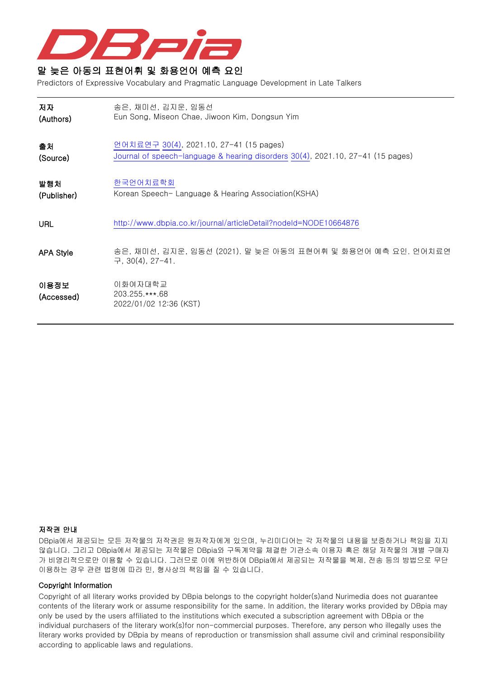

# 말 늦은 아동의 표현어휘 및 화용언어 예측 요인

Predictors of Expressive Vocabulary and Pragmatic Language Development in Late Talkers

| 저자                 | 송은, 채미선, 김지운, 임동선                                                                     |
|--------------------|---------------------------------------------------------------------------------------|
| (Authors)          | Eun Song, Miseon Chae, Jiwoon Kim, Dongsun Yim                                        |
| 출처                 | 언어치료연구 30(4), 2021.10, 27-41 (15 pages)                                               |
| (Source)           | Journal of speech-language & hearing disorders 30(4), 2021.10, 27-41 (15 pages)       |
| 발행처                | 한국언어치료학회                                                                              |
| (Publisher)        | Korean Speech- Language & Hearing Association(KSHA)                                   |
| URL                | http://www.dbpia.co.kr/journal/articleDetail?nodeId=NODE10664876                      |
| <b>APA Style</b>   | 송은, 채미선, 김지운, 임동선 (2021). 말 늦은 아동의 표현어휘 및 화용언어 예측 요인. 언어치료연<br>구, $30(4)$ , $27-41$ . |
| 이용정보<br>(Accessed) | 이화여자대학교<br>203.255.***.68<br>2022/01/02 12:36 (KST)                                   |

# 저작권 안내

DBpia에서 제공되는 모든 저작물의 저작권은 원저작자에게 있으며, 누리미디어는 각 저작물의 내용을 보증하거나 책임을 지지 않습니다. 그리고 DBpia에서 제공되는 저작물은 DBpia와 구독계약을 체결한 기관소속 이용자 혹은 해당 저작물의 개별 구매자 가 비영리적으로만 이용할 수 있습니다. 그러므로 이에 위반하여 DBpia에서 제공되는 저작물을 복제, 전송 등의 방법으로 무단 이용하는 경우 관련 법령에 따라 민, 형사상의 책임을 질 수 있습니다.

# Copyright Information

Copyright of all literary works provided by DBpia belongs to the copyright holder(s)and Nurimedia does not guarantee contents of the literary work or assume responsibility for the same. In addition, the literary works provided by DBpia may only be used by the users affiliated to the institutions which executed a subscription agreement with DBpia or the individual purchasers of the literary work(s)for non-commercial purposes. Therefore, any person who illegally uses the literary works provided by DBpia by means of reproduction or transmission shall assume civil and criminal responsibility according to applicable laws and regulations.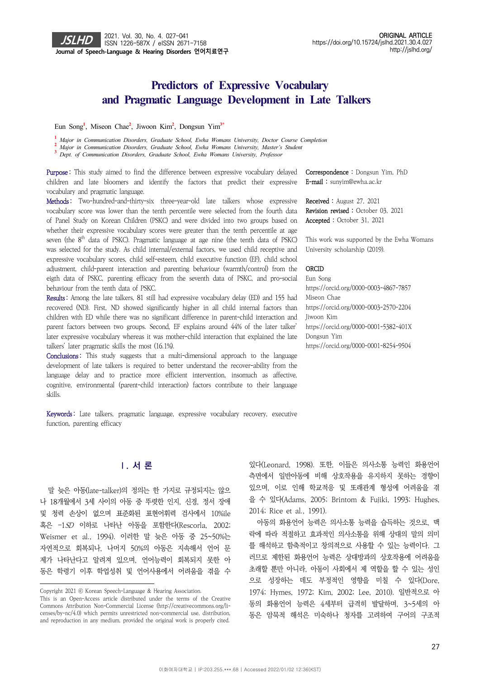# **Predictors of Expressive Vocabulary**  and Pragmatic Language Development in Late Talkers

Eun Song**<sup>1</sup>** , Miseon Chae**<sup>2</sup>** , Jiwoon Kim**<sup>2</sup>** , Dongsun Yim**3\***

**1**  *Major in Communication Disorders, Graduate School, Ewha Womans University, Doctor Course Completion*

**2**  *Major in Communication Disorders, Graduate School, Ewha Womans University, Master's Student*

**3**  *Dept. of Communication Disorders, Graduate School, Ewha Womans University, Professor*

Purpose: This study aimed to find the difference between expressive vocabulary delayed children and late bloomers and identify the factors that predict their expressive vocabulary and pragmatic language.

Methods: Two-hundred-and-thirty-six three-year-old late talkers whose expressive vocabulary score was lower than the tenth percentile were selected from the fourth data of Panel Study on Korean Children (PSKC) and were divided into two groups based on whether their expressive vocabulary scores were greater than the tenth percentile at age seven (the  $8<sup>th</sup>$  data of PSKC). Pragmatic language at age nine (the tenth data of PSKC) was selected for the study. As child internal/external factors, we used child receptive and expressive vocabulary scores, child self-esteem, child executive function (EF), child school adjustment, child-parent interaction and parenting behaviour (warmth/control) from the eigth data of PSKC, parenting efficacy from the seventh data of PSKC, and pro-social behaviour from the tenth data of PSKC.

Results : Among the late talkers, 81 still had expressive vocabulary delay (ED) and 155 had recovered (ND). First, ND showed significantly higher in all child internal factors than children with ED while there was no significant difference in parent-child interaction and parent factors between two groups. Second, EF explains around 44% of the later talker' later expressive vocabulary whereas it was mother-child interaction that explained the late talkers' later pragmatic skills the most (16.1%).

Conclusions: This study suggests that a multi-dimensional approach to the language development of late talkers is required to better understand the recover-ability from the language delay and to practice more efficient intervention, insomuch as affective, cognitive, environmental (parent-child interaction) factors contribute to their language skills.

Correspondence : Dongsun Yim, PhD E-mail : sunyim@ewha.ac.kr

Received : August 27, 2021 Revision revised : October 03, 2021 Accepted : October 31, 2021

This work was supported by the Ewha Womans University scholarship (2019).

## ORCID

Eun Song https://orcid.org/0000-0003-4867-7857 Miseon Chae https://orcid.org/0000-0003-2570-2204 Jiwoon Kim https://orcid.org/0000-0001-5382-401X Dongsun Yim https://orcid.org/0000-0001-8254-9504

Keywords: Late talkers, pragmatic language, expressive vocabulary recovery, executive function, parenting efficacy

# **Ⅰ. 서 론**

말 늦은 아동(late-talker)의 정의는 한 가지로 규정되지는 않으 나 18개월에서 3세 사이의 아동 중 뚜렷한 인지, 신경, 정서 장애 및 청력 손상이 없으며 표준화된 표현어휘력 검사에서 10%ile 혹은 –1SD 이하로 나타난 아동을 포함한다(Rescorla, 2002; Weismer et al., 1994). 이러한 말 늦은 아동 중 25~50%는 자연적으로 회복되나, 나머지 50%의 아동은 지속해서 언어 문 제가 나타난다고 알려져 있으며, 언어능력이 회복되지 못한 아 동은 학령기 이후 학업성취 및 언어사용에서 어려움을 겪을 수

있다(Leonard, 1998). 또한, 이들은 의사소통 능력인 화용언어 측면에서 일반아동에 비해 상호작용을 유지하지 못하는 경향이 있으며, 이로 인해 학교적응 및 또래관계 형성에 어려움을 겪 을 수 있다(Adams, 2005; Brintom & Fujiki, 1993; Hughes, 2014; Rice et al., 1991).

아동의 화용언어 능력은 의사소통 능력을 습득하는 것으로, 맥 락에 따라 적절하고 효과적인 의사소통을 위해 상대의 말의 의미 를 해석하고 함축적이고 창의적으로 사용할 수 있는 능력이다. 그 러므로 제한된 화용언어 능력은 상대방과의 상호작용에 어려움을 초래할 뿐만 아니라, 아동이 사회에서 제 역할을 할 수 있는 성인 으로 성장하는 데도 부정적인 영향을 미칠 수 있다(Dore, 1974; Hymes, 1972; Kim, 2002; Lee, 2010). 일반적으로 아 동의 화용언어 능력은 4세부터 급격히 발달하며, 3~5세의 아 동은 암묵적 해석은 미숙하나 청자를 고려하여 구어의 구조적

Copyright 2021 ⓒ Korean Speech-Language & Hearing Association.

This is an Open-Access article distributed under the terms of the Creative Commons Attribution Non-Commercial License (http://creativecommons.org/licenses/by-nc/4.0) which permits unrestricted non-commercial use, distribution, and reproduction in any medium, provided the original work is properly cited.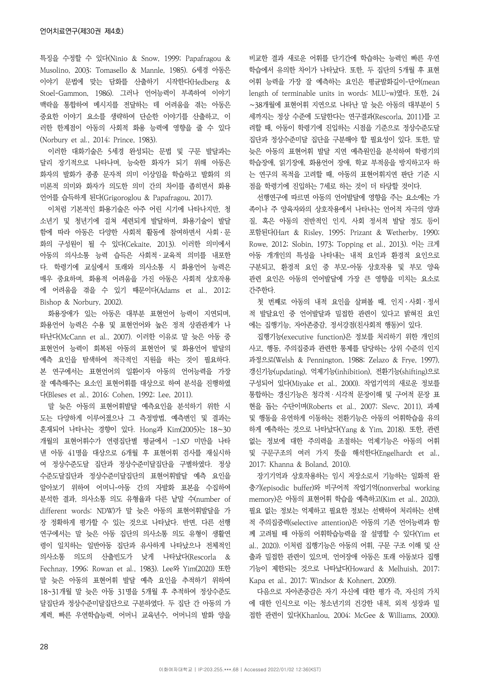특징을 수정할 수 있다(Ninio & Snow, 1999; Papafragou & Musolino, 2003; Tomasello & Mannle, 1985). 6세경 아동은 이야기 문법에 맞는 담화를 산출하기 시작한다(Hedberg & Stoel-Gammon, 1986). 그러나 언어능력이 부족하여 이야기 맥락을 통합하여 메시지를 전달하는 데 어려움을 겪는 아동은 중요한 이야기 요소를 생략하여 단순한 이야기를 산출하고, 이 러한 한계점이 아동의 사회적 화용 능력에 영향을 줄 수 있다 (Norbury et al., 2014; Prince, 1983).

이러한 대화기술은 5세경 완성되는 문법 및 구문 발달과는 달리 장기적으로 나타나며, 능숙한 화자가 되기 위해 아동은 화자의 발화가 종종 문자적 의미 이상임을 학습하고 발화의 의 미론적 의미와 화자가 의도한 의미 간의 차이를 좁히면서 화용 언어를 습득하게 된다(Grigoroglou & Papafragou, 2017).

이처럼 기본적인 화용기술은 아주 어린 시기에 나타나지만, 청 소년기 및 청년기에 걸쳐 세련되게 발달하며, 화용기술이 발달 함에 따라 아동은 다양한 사회적 활동에 참여하면서 사회ㆍ문 화의 구성원이 될 수 있다(Cekaite, 2013). 이러한 의미에서 아동의 의사소통 능력 습득은 사회적ㆍ교육적 의미를 내포한 다. 학령기에 교실에서 또래와 의사소통 시 화용언어 능력은 매우 중요하며, 화용적 어려움을 가진 아동은 사회적 상호작용 에 어려움을 겪을 수 있기 때문이다(Adams et al., 2012; Bishop & Norbury, 2002).

화용장애가 있는 아동은 대부분 표현언어 능력이 지연되며, 화용언어 능력은 수용 및 표현언어와 높은 정적 상관관계가 나 타난다(McCann et al., 2007). 이러한 이유로 말 늦은 아동 중 표현언어 능력이 회복된 아동의 표현언어 및 화용언어 발달의 예측 요인을 탐색하여 적극적인 지원을 하는 것이 필요하다. 본 연구에서는 표현언어의 일환이자 아동의 언어능력을 가장 잘 예측해주는 요소인 표현어휘를 대상으로 하여 분석을 진행하였 다(Bleses et al., 2016; Cohen, 1992; Lee, 2011).

말 늦은 아동의 표현어휘발달 예측요인을 분석하기 위한 시 도는 다양하게 이루어졌으나 그 측정방법, 예측변인 및 결과는 혼재되어 나타나는 경향이 있다. Hong과 Kim(2005)는 18∼30 개월의 표현어휘수가 연령집단별 평균에서 –1SD 미만을 나타 낸 아동 41명을 대상으로 6개월 후 표현어휘 검사를 재실시하 여 정상수준도달 집단과 정상수준미달집단을 구별하였다. 정상 수준도달집단과 정상수준미달집단의 표현어휘발달 예측 요인을 알아보기 위하여 어머니-아동 간의 자발화 표본을 수집하여 분석한 결과, 의사소통 의도 유형율과 다른 낱말 수(number of different words: NDW)가 말 늦은 아동의 표현어휘발달을 가 장 정확하게 평가할 수 있는 것으로 나타났다. 반면, 다른 선행 연구에서는 말 늦은 아동 집단의 의사소통 의도 유형이 생활연 령이 일치하는 일반아동 집단과 유사하게 나타났으나 전체적인 의사소통 의도의 산출빈도가 낮게 나타났다(Rescorla & Fechnay, 1996; Rowan et al., 1983). Lee와 Yim(2020) 또한 말 늦은 아동의 표현어휘 발달 예측 요인을 추적하기 위하여 18~31개월 말 늦은 아동 31명을 5개월 후 추적하여 정상수준도 달집단과 정상수준미달집단으로 구분하였다. 두 집단 간 아동의 가 계력, 빠른 우연학습능력, 어머니 교육년수, 어머니의 발화 양을 비교한 결과 새로운 어휘를 단기간에 학습하는 능력인 빠른 우연 학습에서 유의한 차이가 나타났다. 또한, 두 집단의 5개월 후 표현 어휘 능력을 가장 잘 예측하는 요인은 평균발화길이-단어(mean length of terminable units in words: MLU-w)였다. 또한, 24 ∼38개월에 표현어휘 지연으로 나타난 말 늦은 아동의 대부분이 5 세까지는 정상 수준에 도달한다는 연구결과(Rescorla, 2011)를 고 려할 때, 아동이 학령기에 진입하는 시점을 기준으로 정상수준도달 집단과 정상수준미달 집단을 구분해야 할 필요성이 있다. 또한, 말 늦은 아동의 표현어휘 발달 지연 예측원인을 분석하여 학령기의 학습장애, 읽기장애, 화용언어 장애, 학교 부적응을 방지하고자 하 는 연구의 목적을 고려할 때, 아동의 표현어휘지연 판단 기준 시 점을 학령기에 진입하는 7세로 하는 것이 더 타당할 것이다.

선행연구에 따르면 아동의 언어발달에 영향을 주는 요소에는 가 족이나 주 양육자와의 상호작용에서 나타나는 언어적 자극의 양과 질, 혹은 아동의 전반적인 인지, 사회 정서적 발달 정도 등이 포함된다(Hart & Risley, 1995; Prizant & Wetherby, 1990; Rowe, 2012; Slobin, 1973; Topping et al., 2013). 이는 크게 아동 개개인의 특성을 나타내는 내적 요인과 환경적 요인으로 구분되고, 환경적 요인 중 부모-아동 상호작용 및 부모 양육 관련 요인은 아동의 언어발달에 가장 큰 영향을 미치는 요소로 간주한다.

첫 번째로 아동의 내적 요인을 살펴볼 때, 인지ㆍ사회ㆍ정서 적 발달요인 중 언어발달과 밀접한 관련이 있다고 밝혀진 요인 에는 집행기능, 자아존중감, 정서강점(친사회적 행동)이 있다.

집행기능(executive function)은 정보를 처리하기 위한 개인의 사고, 행동, 주의집중과 관련한 통제를 담당하는 상위 수준의 인지 과정으로(Welsh & Pennington, 1988; Zelazo & Frye, 1997), 갱신기능(updating), 억제기능(inhibition), 전환기능(shifting)으로 구성되어 있다(Miyake et al., 2000). 작업기억의 새로운 정보를 통합하는 갱신기능은 청각적 · 시각적 문장이해 및 구어적 문장 표 현을 돕는 수단이며(Roberts et al., 2007; Slevc, 2011), 과제 및 행동을 유연하게 이동하는 전환기능은 아동의 어휘학습을 유의 하게 예측하는 것으로 나타났다(Yang & Yim, 2018). 또한, 관련 없는 정보에 대한 주의력을 조절하는 억제기능은 아동의 어휘 및 구문구조의 여러 가지 뜻을 해석한다(Engelhardt et al., 2017; Khanna & Boland, 2010).

장기기억과 상호작용하는 임시 저장소로서 기능하는 일화적 완 충기(episodic buffer)와 비구어적 작업기억(nonverbal working memory)은 아동의 표현어휘 학습을 예측하고(Kim et al., 2020), 필요 없는 정보는 억제하고 필요한 정보는 선택하여 처리하는 선택 적 주의집중력(selective attention)은 아동의 기존 언어능력과 함 께 고려될 때 아동의 어휘학습능력을 잘 설명할 수 있다(Yim et al., 2020). 이처럼 집행기능은 아동의 어휘, 구문 구조 이해 및 산 출과 밀접한 관련이 있으며, 언어장애 아동은 또래 아동보다 집행 기능이 제한되는 것으로 나타났다(Howard & Melhuish, 2017; Kapa et al., 2017; Windsor & Kohnert, 2009).

다음으로 자아존중감은 자기 자신에 대한 평가 즉, 자신의 가치 에 대한 인식으로 이는 청소년기의 건강한 내적, 외적 성장과 밀 접한 관련이 있다(Khanlou, 2004; McGee & Williams, 2000).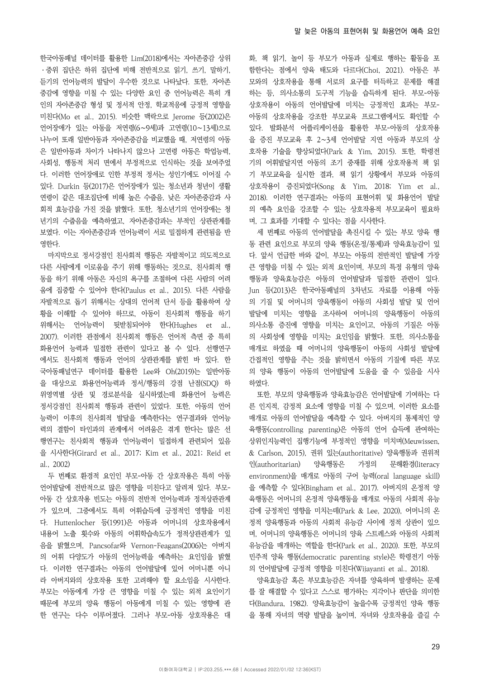한국아동패널 데이터를 활용한 Lim(2018)에서는 자아존중감 상위 ㆍ중위 집단은 하위 집단에 비해 전반적으로 읽기, 쓰기, 말하기, 듣기의 언어능력의 발달이 우수한 것으로 나타났다. 또한, 자아존 중감에 영향을 미칠 수 있는 다양한 요인 중 언어능력은 특히 개 인의 자아존중감 형성 및 정서적 안정, 학교적응에 긍정적 영향을 미친다(Mo et al., 2015). 비슷한 맥락으로 Jerome 등(2002)은 언어장애가 있는 아동을 저연령(6∼9세)과 고연령(10∼13세)으로 나누어 또래 일반아동과 자아존중감을 비교했을 때, 저연령의 아동 은 일반아동과 차이가 나타나지 않으나 고연령 아동은 학업능력, 사회성, 행동적 처리 면에서 부정적으로 인식하는 것을 보여주었 다. 이러한 언어장애로 인한 부정적 정서는 성인기에도 이어질 수 있다. Durkin 등(2017)은 언어장애가 있는 청소년과 청년이 생활 연령이 같은 대조집단에 비해 높은 수줍음, 낮은 자아존중감과 사 회적 효능감을 가진 것을 밝혔다. 또한, 청소년기의 언어장애는 청 년기의 수줍음을 예측하였고, 자아존중감과는 부적인 상관관계를 보였다. 이는 자아존중감과 언어능력이 서로 밀접하게 관련됨을 반 영한다.

마지막으로 정서강점인 친사회적 행동은 자발적이고 의도적으로 다른 사람에게 이로움을 주기 위해 행동하는 것으로, 친사회적 행 동을 하기 위해 아동은 자신의 욕구를 조절하여 다른 사람의 어려 움에 집중할 수 있어야 한다(Paulus et al., 2015). 다른 사람을 자발적으로 돕기 위해서는 상대의 언어적 단서 등을 활용하여 상 황을 이해할 수 있어야 하므로, 아동이 친사회적 행동을 하기 위해서는 언어능력이 뒷받침되어야 한다(Hughes et al., 2007). 이러한 관점에서 친사회적 행동은 언어적 측면 중 특히 화용언어 능력과 밀접한 관련이 있다고 볼 수 있다. 선행연구 에서도 친사회적 행동과 언어의 상관관계를 밝힌 바 있다. 한 국아동패널연구 데이터를 활용한 Lee와 Oh(2019)는 일반아동 을 대상으로 화용언어능력과 정서/행동의 강점 난점(SDQ) 하 위영역별 상관 및 경로분석을 실시하였는데 화용언어 능력은 정서강점인 친사회적 행동과 관련이 있었다. 또한, 아동의 언어 능력이 이후의 친사회적 발달을 예측한다는 연구결과와 언어능 력의 결함이 타인과의 관계에서 어려움은 겪게 한다는 많은 선 행연구는 친사회적 행동과 언어능력이 밀접하게 관련되어 있음 을 시사한다(Girard et al., 2017; Kim et al., 2021; Reid et al., 2002)

두 번째로 환경적 요인인 부모-아동 간 상호작용은 특히 아동 언어발달에 전반적으로 많은 영향을 미친다고 알려져 있다. 부모-아동 간 상호작용 빈도는 아동의 전반적 언어능력과 정적상관관계 가 있으며, 그중에서도 특히 어휘습득에 긍정적인 영향을 미친 다. Huttenlocher 등(1991)은 아동과 어머니의 상호작용에서 내용어 노출 횟수와 아동의 어휘학습속도가 정적상관관계가 있 음을 밝혔으며, Pancsofar와 Vernon-Feagans(2006)는 아버지 의 어휘 다양도가 아동의 언어능력을 예측하는 요인임을 밝혔 다. 이러한 연구결과는 아동의 언어발달에 있어 어머니뿐 아니 라 아버지와의 상호작용 또한 고려해야 할 요소임을 시사한다. 부모는 아동에게 가장 큰 영향을 미칠 수 있는 외적 요인이기 때문에 부모의 양육 행동이 아동에게 미칠 수 있는 영향에 관 한 연구는 다수 이루어졌다. 그러나 부모-아동 상호작용은 대 화, 책 읽기, 놀이 등 부모가 아동과 실제로 행하는 활동을 포 함한다는 점에서 양육 태도와 다르다(Choi, 2021). 아동은 부 모와의 상호작용을 통해 서로의 요구를 터득하고 문제를 해결 하는 등, 의사소통의 도구적 기능을 습득하게 된다. 부모-아동 상호작용이 아동의 언어발달에 미치는 긍정적인 효과는 부모-아동의 상호작용을 강조한 부모교육 프로그램에서도 확인할 수 있다. 발화분석 어플리케이션을 활용한 부모-아동의 상호작용 을 증진 부모교육 후 2∼3세 언어발달 지연 아동과 부모의 상 호작용 기술을 향상되었다(Park & Yim, 2015). 또한, 학령전 기의 어휘발달지연 아동의 조기 중재를 위해 상호작용적 책 읽 기 부모교육을 실시한 결과, 책 읽기 상황에서 부모와 아동의 상호작용이 증진되었다(Song & Yim, 2018; Yim et al., 2018). 이러한 연구결과는 아동의 표현어휘 및 화용언어 발달 의 예측 요인을 강조할 수 있는 상호작용적 부모교육이 필요하 며, 그 효과를 기대할 수 있다는 점을 시사한다.

세 번째로 아동의 언어발달을 촉진시킬 수 있는 부모 양육 행 동 관련 요인으로 부모의 양육 행동(온정/통제)과 양육효능감이 있 다. 앞서 언급한 바와 같이, 부모는 아동의 전반적인 발달에 가장 큰 영향을 미칠 수 있는 외적 요인이며, 부모의 특정 유형의 양육 행동과 양육효능감은 아동의 언어발달과 밀접한 관련이 있다. Jun 등(2013)은 한국아동패널의 3차년도 자료를 이용해 아동 의 기질 및 어머니의 양육행동이 아동의 사회성 발달 및 언어 발달에 미치는 영향을 조사하여 어머니의 양육행동이 아동의 의사소통 증진에 영향을 미치는 요인이고, 아동의 기질은 아동 의 사회성에 영향을 미치는 요인임을 밝혔다. 또한, 의사소통을 매개로 하였을 때 어머니의 양육행동이 아동의 사회성 발달에 간접적인 영향을 주는 것을 밝히면서 아동의 기질에 따른 부모 의 양육 행동이 아동의 언어발달에 도움을 줄 수 있음을 시사 하였다.

또한, 부모의 양육행동과 양육효능감은 언어발달에 기여하는 다 른 인지적, 감정적 요소에 영향을 미칠 수 있으며, 이러한 요소를 매개로 아동의 언어발달을 예측할 수 있다. 아버지의 통제적인 양 육행동(controlling parenting)은 아동의 언어 습득에 관여하는 상위인지능력인 집행기능에 부정적인 영향을 미치며(Meuwissen, & Carlson, 2015), 권위 있는(authoritative) 양육행동과 권위적 인(authoritarian) 양육행동은 가정의 문해환경(literacy environment)을 매개로 아동의 구어 능력(oral language skill) 을 예측할 수 있다(Bingham et al., 2017). 아버지의 온정적 양 육행동은 어머니의 온정적 양육행동을 매개로 아동의 사회적 유능 감에 긍정적인 영향을 미치는데(Park & Lee, 2020), 어머니의 온 정적 양육행동과 아동의 사회적 유능감 사이에 정적 상관이 있으 며, 어머니의 양육행동은 어머니의 양육 스트레스와 아동의 사회적 유능감을 매개하는 역할을 한다(Park et al., 2020). 또한, 부모의 민주적 양육 행동(democratic parenting style)은 학령전기 아동 의 언어발달에 긍정적 영향을 미친다(Wijayanti et al., 2018).

양육효능감 혹은 부모효능감은 자녀를 양육하며 발생하는 문제 를 잘 해결할 수 있다고 스스로 평가하는 지각이나 판단을 의미한 다(Bandura, 1982). 양육효능감이 높을수록 긍정적인 양육 행동 을 통해 자녀의 역량 발달을 높이며, 자녀와 상호작용을 즐길 수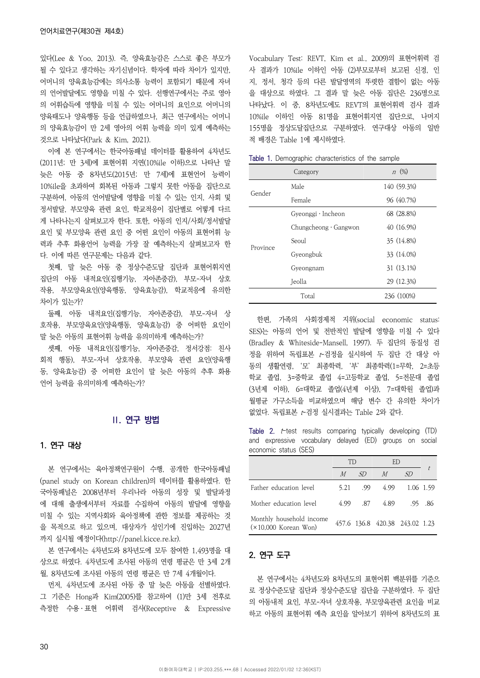있다(Lee & Yoo, 2013). 즉, 양육효능감은 스스로 좋은 부모가 될 수 있다고 생각하는 자기신념이다. 학자에 따라 차이가 있지만, 어머니의 양육효능감에는 의사소통 능력이 포함되기 때문에 자녀 의 언어발달에도 영향을 미칠 수 있다. 선행연구에서는 주로 영아 의 어휘습득에 영향을 미칠 수 있는 어머니의 요인으로 어머니의 양육태도나 양육행동 등을 언급하였으나, 최근 연구에서는 어머니 의 양육효능감이 만 2세 영아의 어휘 능력을 의미 있게 예측하는 것으로 나타났다(Park & Kim, 2021).

이에 본 연구에서는 한국아동패널 데이터를 활용하여 4차년도 (2011년; 만 3세)에 표현어휘 지연(10%ile 이하)으로 나타난 말 늦은 아동 중 8차년도(2015년; 만 7세)에 표현언어 능력이 10%ile을 초과하여 회복된 아동과 그렇지 못한 아동을 집단으로 구분하여, 아동의 언어발달에 영향을 미칠 수 있는 인지, 사회 및 정서발달, 부모양육 관련 요인, 학교적응이 집단별로 어떻게 다르 게 나타나는지 살펴보고자 한다. 또한, 아동의 인지/사회/정서발달 요인 및 부모양육 관련 요인 중 어떤 요인이 아동의 표현어휘 능 력과 추후 화용언어 능력을 가장 잘 예측하는지 살펴보고자 한 다. 이에 따른 연구문제는 다음과 같다.

첫째, 말 늦은 아동 중 정상수준도달 집단과 표현어휘지연 집단의 아동 내적요인(집행기능, 자아존중감), 부모-자녀 상호 작용, 부모양육요인(양육행동, 양육효능감), 학교적응에 유의한 차이가 있는가?

둘째, 아동 내적요인(집행기능, 자아존중감), 부모-자녀 상 호작용, 부모양육요인(양육행동, 양육효능감) 중 어떠한 요인이 말 늦은 아동의 표현어휘 능력을 유의미하게 예측하는가?

셋째, 아동 내적요인(집행기능, 자아존중감, 정서강점: 친사 회적 행동), 부모-자녀 상호작용, 부모양육 관련 요인(양육행 동, 양육효능감) 중 어떠한 요인이 말 늦은 아동의 추후 화용 언어 능력을 유의미하게 예측하는가?

# **Ⅱ. 연구 방법**

## 1. 연구 대상

본 연구에서는 육아정책연구원이 수행, 공개한 한국아동패널 (panel study on Korean children)의 데이터를 활용하였다. 한 국아동패널은 2008년부터 우리나라 아동의 성장 및 발달과정 에 대해 출생에서부터 자료를 수집하여 아동의 발달에 영향을 미칠 수 있는 지역사회와 육아정책에 관한 정보를 제공하는 것 을 목적으로 하고 있으며, 대상자가 성인기에 진입하는 2027년 까지 실시될 예정이다(http://panel.kicce.re.kr).

본 연구에서는 4차년도와 8차년도에 모두 참여한 1,493명을 대 상으로 하였다. 4차년도에 조사된 아동의 연령 평균은 만 3세 2개 월, 8차년도에 조사된 아동의 연령 평균은 만 7세 4개월이다.

먼저, 4차년도에 조사된 아동 중 말 늦은 아동을 선별하였다. 그 기준은 Hong과 Kim(2005)를 참고하여 (1)만 3세 전후로 측정한 수용ㆍ표현 어휘력 검사(Receptive & Expressive Vocabulary Test: REVT, Kim et al., 2009)의 표현어휘력 검 사 결과가 10%ile 이하인 아동 (2)부모로부터 보고된 신경, 인 지, 정서, 청각 등의 다른 발달영역의 뚜렷한 결함이 없는 아동 을 대상으로 하였다. 그 결과 말 늦은 아동 집단은 236명으로 나타났다. 이 중, 8차년도에도 REVT의 표현어휘력 검사 결과 10%ile 이하인 아동 81명을 표현어휘지연 집단으로, 나머지 155명을 정상도달집단으로 구분하였다. 연구대상 아동의 일반 적 배경은 Table 1에 제시하였다.

|          | Category                    | $n \ (\%)$  |
|----------|-----------------------------|-------------|
| Gender   | Male                        | 140 (59.3%) |
|          | Female                      | 96 (40.7%)  |
|          | Gyeonggi · Incheon          | 68 (28.8%)  |
|          | Chungcheong $\cdot$ Gangwon | 40 (16.9%)  |
|          | Seoul                       | 35 (14.8%)  |
| Province | Gyeongbuk                   | 33 (14.0%)  |
|          | Gyeongnam                   | 31 (13.1%)  |
|          | Jeolla                      | 29 (12.3%)  |
|          | Total                       | 236 (100%)  |

Table 1. Demographic characteristics of the sample

한편, 가족의 사회경제적 지위(social economic status: SES)는 아동의 언어 및 전반적인 발달에 영향을 미칠 수 있다 (Bradley & Whiteside-Mansell, 1997). 두 집단의 동질성 검 정을 위하여 독립표본 t-검정을 실시하여 두 집단 간 대상 아 동의 생활연령, '모' 최종학력, '부' 최종학력(1=무학, 2=초등 학교 졸업, 3=중학교 졸업 4=고등학교 졸업, 5=전문대 졸업 (3년제 이하), 6=대학교 졸업(4년제 이상), 7=대학원 졸업)과 월평균 가구소득을 비교하였으며 해당 변수 간 유의한 차이가 없었다. 독립표본 t-검정 실시결과는 Table 2와 같다.

Table 2.  $t$ -test results comparing typically developing (TD) and expressive vocabulary delayed (ED) groups on social economic status (SES)

|                                                    | TD   |     | ED                             |    |                 |
|----------------------------------------------------|------|-----|--------------------------------|----|-----------------|
|                                                    | M    | SD  | $\overline{M}$                 | SD |                 |
| Father education level                             | 5.21 | .99 | 4.99                           |    | 1.06 1.59       |
| Mother education level                             | 4.99 | .87 | 4.89                           |    | $.95 \quad .86$ |
| Monthly household income<br>$(x10,000$ Korean Won) |      |     | 457.6 136.8 420.38 243.02 1.23 |    |                 |

# 2. 연구 도구

본 연구에서는 4차년도와 8차년도의 표현어휘 백분위를 기준으 로 정상수준도달 집단과 정상수준도달 집단을 구분하였다. 두 집단 의 아동내적 요인, 부모-자녀 상호작용, 부모양육관련 요인을 비교 하고 아동의 표현어휘 예측 요인을 알아보기 위하여 8차년도의 표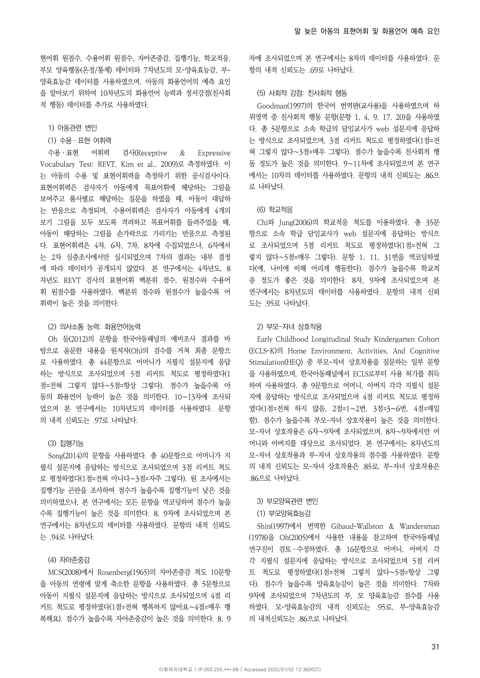현어휘 원점수, 수용어휘 원점수, 자아존중감, 집행기능, 학교적응, 부모 양육행동(온정/통제) 데이터와 7차년도의 모-양육효능감, 부-양육효능감 데이터를 사용하였으며, 아동의 화용언어의 예측 요인 을 알아보기 위하여 10차년도의 화용언어 능력과 정서강점(친사회 적 행동) 데이터를 추가로 사용하였다.

- 1) 아동관련 변인
- (1) 수용ㆍ표현 어휘력

수용ㆍ표현 어휘력 검사(Receptive & Expressive Vocabulary Test: REVT, Kim et al., 2009)로 측정하였다. 이 는 아동의 수용 및 표현어휘력을 측정하기 위한 공식검사이다. 표현어휘력은 검사자가 아동에게 목표어휘에 해당하는 그림을 보여주고 품사별로 해당하는 질문을 하였을 때, 아동이 대답하 는 반응으로 측정되며, 수용어휘력은 검사자가 아동에게 4개의 보기 그림을 모두 보도록 격려하고 목표어휘를 들려주었을 때, 아동이 해당하는 그림을 손가락으로 가리키는 반응으로 측정된 다. 표현어휘력은 4차, 6차, 7차, 8차에 수집되었으나, 6차에서 는 2차 심층조사에서만 실시되었으며 7차의 결과는 내부 결정 에 따라 데이터가 공개되지 않았다. 본 연구에서는 4차년도, 8 차년도 REVT 검사의 표현어휘 백분위 점수, 원점수와 수용어 휘 원점수를 사용하였다. 백분위 점수와 원점수가 높을수록 어 휘력이 높은 것을 의미한다.

#### (2) 의사소통 능력: 화용언어능력

Oh 등(2012)의 문항을 한국아동패널의 예비조사 결과를 바 탕으로 윤문한 내용을 원저자(Oh)의 검수를 거쳐 최종 문항으 로 사용하였다. 총 44문항으로 어머니가 지필식 설문지에 응답 하는 방식으로 조사되었으며 5점 리커트 척도로 평정하였다(1 점=전혀 그렇지 않다∼5점=항상 그렇다). 점수가 높을수록 아 동의 화용언어 능력이 높은 것을 의미한다. 10∼13차에 조사되 었으며 본 연구에서는 10차년도의 데이터를 사용하였다. 문항 의 내적 신뢰도는 .97로 나타났다.

#### (3) 집행기능

Song(2014)의 문항을 사용하였다. 총 40문항으로 어머니가 지 필식 설문지에 응답하는 방식으로 조사되었으며 3점 리커트 척도 로 평정하였다(1점=전혀 아니다∼3점=자주 그렇다). 원 조사에서는 집행기능 곤란을 조사하여 점수가 높을수록 집행기능이 낮은 것을 의미하였으나, 본 연구에서는 모든 문항을 역코딩하여 점수가 높을 수록 집행기능이 높은 것을 의미한다. 8, 9차에 조사되었으며 본 연구에서는 8차년도의 데이터를 사용하였다. 문항의 내적 신뢰도 는 .94로 나타났다.

# (4) 자아존중감

MCS(2008)에서 Rosenberg(1965)의 자아존중감 척도 10문항 을 아동의 연령에 맞게 축소한 문항을 사용하였다. 총 5문항으로 아동이 지필식 설문지에 응답하는 방식으로 조사되었으며 4점 리 커트 척도로 평정하였다(1점=전혀 행복하지 않아요∼4점=매우 행 복해요). 점수가 높을수록 자아존중감이 높은 것을 의미한다. 8, 9 차에 조사되었으며 본 연구에서는 8차의 데이터를 사용하였다. 문 항의 내적 신뢰도는 .69로 나타났다.

# (5) 사회적 강점: 친사회적 행동

Goodman(1997)의 한국어 번역판(교사용)을 사용하였으며 하 위영역 중 친사회적 행동 문항(문항 1, 4, 9, 17, 20)을 사용하였 다. 총 5문항으로 소속 학급의 담임교사가 web 설문지에 응답하 는 방식으로 조사되었으며, 3점 리커트 척도로 평정하였다(1점=전 혀 그렇지 않다∼3점=매우 그렇다). 점수가 높을수록 친사회적 행 동 정도가 높은 것을 의미한다. 9∼11차에 조사되었으며 본 연구 에서는 10차의 데이터를 사용하였다. 문항의 내적 신뢰도는 .86으 로 나타났다.

#### (6) 학교적응

Chi와 Jung(2006)의 학교적응 척도를 이용하였다. 총 35문 항으로 소속 학급 담임교사가 web 설문지에 응답하는 방식으 로 조사되었으며 5점 리커트 척도로 평정하였다(1점=전혀 그 렇지 않다∼5점=매우 그렇다). 문항 1, 11, 31번을 역코딩하였 다(예, 나이에 비해 어리게 행동한다). 점수가 높을수록 학교적 응 정도가 좋은 것을 의미한다. 8차, 9차에 조사되었으며 본 연구에서는 8차년도의 데이터를 사용하였다. 문항의 내적 신뢰 도는 .95로 나타났다.

# 2) 부모-자녀 상호작용

Early Childhood Longitudinal Study Kindergarten Cohort (ECLS-K)의 Home Environment, Activities, And Cognitive Stimulation(HEQ) 중 부모-자녀 상호작용을 질문하는 일부 문항 을 사용하였으며, 한국아동패널에서 ECLS로부터 사용 허가를 취득 하여 사용하였다. 총 9문항으로 어머니, 아버지 각각 지필식 설문 지에 응답하는 방식으로 조사되었으며 4점 리커트 척도로 평정하 였다(1점=전혀 하지 않음, 2점=1∼2번, 3점=3∼6번, 4점=매일 함). 점수가 높을수록 부모-자녀 상호작용이 높은 것을 의미한다. 모-자녀 상호작용은 6차∼9차에 조사되었으며, 8차∼9차에서만 어 머니와 아버지를 대상으로 조사되었다. 본 연구에서는 8차년도의 모-자녀 상호작용과 부-자녀 상호작용의 점수를 사용하였다. 문항 의 내적 신뢰도는 모-자녀 상호작용은 .85로, 부-자녀 상호작용은 .86으로 나타났다.

#### 3) 부모양육관련 변인

### (1) 부모양육효능감

Shin(1997)에서 번역한 Gibaud-Wallston & Wandersman (1978)을 Oh(2005)에서 사용한 내용을 참고하여 한국아동패널 연구진이 검토ㆍ수정하였다. 총 16문항으로 어머니, 아버지 각 각 지필식 설문지에 응답하는 방식으로 조사되었으며 5점 리커 트 척도로 평정하였다(1점=전혀 그렇지 않다∼5점=항상 그렇 다). 점수가 높을수록 양육효능감이 높은 것을 의미한다. 7차와 9차에 조사되었으며 7차년도의 부, 모 양육효능감 점수를 사용 하였다. 모-양육효능감의 내적 신뢰도는 .95로, 부-양육효능감 의 내적신뢰도는 .86으로 나타났다.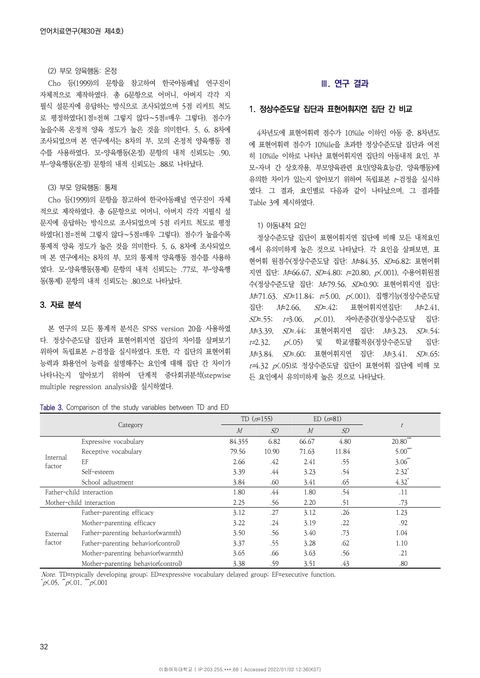#### (2) 부모 양육행동: 온정

Cho 등(1999)의 문항을 참고하여 한국아동패널 연구진이 자체적으로 제작하였다. 총 6문항으로 어머니, 아버지 각각 지 필식 설문지에 응답하는 방식으로 조사되었으며 5점 리커트 척도 로 평정하였다(1점=전혀 그렇지 않다∼5점=매우 그렇다). 점수가 높을수록 온정적 양육 정도가 높은 것을 의미한다. 5, 6, 8차에 조사되었으며 본 연구에서는 8차의 부, 모의 온정적 양육행동 점 수를 사용하였다. 모-양육행동(온정) 문항의 내적 신뢰도는 .90, 부-양육행동(온정) 문항의 내적 신뢰도는 .88로 나타났다.

# (3) 부모 양육행동: 통제

Cho 등(1999)의 문항을 참고하여 한국아동패널 연구진이 자체 적으로 제작하였다. 총 6문항으로 어머니, 아버지 각각 지필식 설 문지에 응답하는 방식으로 조사되었으며 5점 리커트 척도로 평정 하였다(1점=전혀 그렇지 않다∼5점=매우 그렇다). 점수가 높을수록 통제적 양육 정도가 높은 것을 의미한다. 5, 6, 8차에 조사되었으 며 본 연구에서는 8차의 부, 모의 통제적 양육행동 점수를 사용하 였다. 모-양육행동(통제) 문항의 내적 신뢰도는 .77로, 부-양육행 동(통제) 문항의 내적 신뢰도는 .80으로 나타났다.

# 3. 자료 분석

본 연구의 모든 통계적 분석은 SPSS version 20을 사용하였 다. 정상수준도달 집단과 표현어휘지연 집단의 차이를 살펴보기 위하여 독립표본 t-검정을 실시하였다. 또한, 각 집단의 표현어휘 능력과 화용언어 능력을 설명해주는 요인에 대해 집단 간 차이가 나타나는지 알아보기 위하여 단계적 중다회귀분석(stepwise multiple regression analysis)을 실시하였다.

#### Table 3. Comparison of the study variables between TD and ED

# **Ⅲ. 연구 결과**

# 1. 정상수준도달 집단과 표현어휘지연 집단 간 비교

4차년도에 표현어휘력 점수가 10%ile 이하인 아동 중, 8차년도 에 표현어휘력 점수가 10%ile을 초과한 정상수준도달 집단과 여전 히 10%ile 이하로 나타난 표현어휘지연 집단의 아동내적 요인, 부 모-자녀 간 상호작용, 부모양육관련 요인(양육효능감, 양육행동)에 유의한 차이가 있는지 알아보기 위하여 독립표본 t-검정을 실시하 였다. 그 결과, 요인별로 다음과 같이 나타났으며, 그 결과를 Table 3에 제시하였다.

## 1) 아동내적 요인

정상수준도달 집단이 표현어휘지연 집단에 비해 모든 내적요인 에서 유의미하게 높은 것으로 나타났다. 각 요인을 살펴보면, 표 현어휘 원점수(정상수준도달 집단: M=84.35, SD=6.82; 표현어휘 지연 집단: M=66.67, SD=4.80; t=20.80, p<.001), 수용어휘원점 수(정상수준도달 집단: M=79.56, SD=0.90; 표현어휘지연 집단: M=71.63, SD=11.84; t=5.00, p(.001), 집행기능(정상수준도달 집단: M=2.66, SD=.42; 표현어휘지연집단: M=2.41,  $S\!D$ =.55;  $t=3.06$ ,  $p(0.01)$ , 자아존중감(정상수준도달 집단: M=3.39, SD=.44; 표현어휘지연 집단: M=3.23, SD=.54;  $t=2.32$ ,  $p(0.05)$  및 학교생활적응(정상수준도달 집단: M=3.84. SD=.60; 표현어휘지연 집단: M=3.41. SD=.65; t=4.32 p<.05)로 정상수준도달 집단이 표현어휘 집단에 비해 모 든 요인에서 유의미하게 높은 것으로 나타났다.

| Category                 |                                    |        | TD $(n=155)$ |       | $ED (n=81)$ |                     |  |
|--------------------------|------------------------------------|--------|--------------|-------|-------------|---------------------|--|
|                          |                                    | M      | SD           | M     | SD          | $\ddot{t}$          |  |
|                          | Expressive vocabulary              | 84.355 | 6.82         | 66.67 | 4.80        | $20.80***$          |  |
|                          | Receptive vocabulary               | 79.56  | 10.90        | 71.63 | 11.84       | $5.00^{*}$          |  |
| Internal<br>factor       | EF                                 | 2.66   | .42          | 2.41  | .55         | 3.06                |  |
|                          | Self-esteem                        | 3.39   | .44          | 3.23  | .54         | $2.32^{*}$          |  |
|                          | School adjustment                  | 3.84   | .60          | 3.41  | .65         | $4.32$ <sup>*</sup> |  |
| Father-child interaction |                                    | 1.80   | .44          | 1.80  | .54         | .11                 |  |
|                          | Mother-child interaction           | 2.25   | .56          | 2.20  | .51         | .73                 |  |
|                          | Father-parenting efficacy          | 3.12   | .27          | 3.12  | .26         | 1.23                |  |
|                          | Mother-parenting efficacy          | 3.22   | .24          | 3.19  | .22         | .92                 |  |
| External<br>factor       | Father-parenting behavior (warmth) | 3.50   | .56          | 3.40  | .73         | 1.04                |  |
|                          | Father-parenting behavior(control) | 3.37   | .55          | 3.28  | .62         | 1.10                |  |
|                          | Mother-parenting behavior(warmth)  | 3.65   | .66          | 3.63  | .56         | .21                 |  |
|                          | Mother-parenting behavior(control) | 3.38   | .59          | 3.51  | .43         | .80                 |  |

Note. TD=typically developing group; ED=expressive vocabulary delayed group; EF=executive function.  $p\zeta$ .05,  $p\zeta$ .01,  $p\zeta$ .001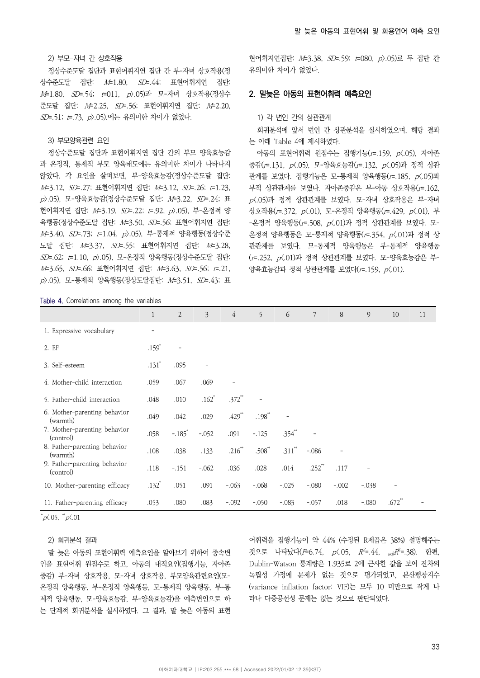# 2) 부모-자녀 간 상호작용

정상수준도달 집단과 표현어휘지연 집단 간 부-자녀 상호작용(정 상수준도달 집단: M=1.80, SD=.44; 표현어휘지연 집단: M=1.80, SD=.54; t=011, p>.05)과 모-자녀 상호작용(정상수 준도달 집단: M=2.25, SD=.56; 표현어휘지연 집단: M=2.20, SD=.51; t=.73, p).05).에는 유의미한 차이가 없었다.

## 3) 부모양육관련 요인

정상수준도달 집단과 표현어휘지연 집단 간의 부모 양육효능감 과 온정적, 통제적 부모 양육태도에는 유의미한 차이가 나타나지 않았다. 각 요인을 살펴보면, 부-양육효능감(정상수준도달 집단: M=3.12, SD=.27; 표현어휘지연 집단: M=3.12, SD=.26; t=1.23, p>.05), 모-양육효능감(정상수준도달 집단: M=3.22, SD=.24; 표 현어휘지연 집단: M=3.19, SD=.22; t=.92, p).05), 부-온정적 양 육행동(정상수준도달 집단: M=3.50, SD=.56; 표현어휘지연 집단: M=3.40, SD=.73; t=1.04, p).05), 부-통제적 양육행동(정상수준 도달 집단: M=3.37, SD=.55; 표현어휘지연 집단: M=3.28, SD=.62; t=1.10, p>.05), 모-온정적 양육행동(정상수준도달 집단: M=3.65, SD=.66; 표현어휘지연 집단: M=3.63, SD=.56; t=.21, p>.05), 모-통제적 양육행동(정상도달집단: M=3.51, SD=.43; 표

현어휘지연집단: M=3.38, SD=.59; t=080, p>.05)로 두 집단 간 유의미한 차이가 없었다.

# 2. 말늦은 아동의 표현어휘력 예측요인

#### 1) 각 변인 간의 상관관계

회귀분석에 앞서 변인 간 상관분석을 실시하였으며, 해당 결과 는 아래 Table 4에 제시하였다.

아동의 표현어휘력 원점수는 집행기능( $r = 159$ ,  $p(0.05)$ , 자아존 중감(r=.131, p<.05), 모-양육효능감(r=.132, p<.05)과 정적 상관 관계를 보였다. 집행기능은 모-통제적 양육행동( $r = 185$ ,  $p(0.05)$ 과 부적 상관관계를 보였다. 자아존중감은 부-아동 상호작용(r=.162,  $p(0.05)$ 과 정적 상관관계를 보였다. 모-자녀 상호작용은 부-자녀 상호작용(r=.372, p<.01), 모-온정적 양육행동(r=.429, p<.01), 부 -온정적 양육행동(r=.508, p<.01)과 정적 상관관계를 보였다. 모-온정적 양육행동은 모-통제적 양육행동(r=.354, p<.01)과 정적 상 관관계를 보였다. 모-통제적 양육행동은 부-통제적 양육행동 (r=.252, p<.01)과 정적 상관관계를 보였다. 모-양육효능감은 부-양육효능감과 정적 상관관계를 보였다(r=.159, p<.01).

Table 4. Correlations among the variables

|                                           | 1                   | $\overline{2}$       | $\mathfrak{Z}$ | $\overline{4}$ | 5           | 6          | $\boldsymbol{7}$ | 8       | $\overline{9}$ | 10                   | 11 |
|-------------------------------------------|---------------------|----------------------|----------------|----------------|-------------|------------|------------------|---------|----------------|----------------------|----|
| 1. Expressive vocabulary                  |                     |                      |                |                |             |            |                  |         |                |                      |    |
| 2. EF                                     | $.159*$             |                      |                |                |             |            |                  |         |                |                      |    |
| 3. Self-esteem                            | $.131*$             | .095                 |                |                |             |            |                  |         |                |                      |    |
| 4. Mother-child interaction               | .059                | .067                 | .069           |                |             |            |                  |         |                |                      |    |
| 5. Father-child interaction               | .048                | .010                 | $.162*$        | $.372**$       |             |            |                  |         |                |                      |    |
| 6. Mother-parenting behavior<br>(warmth)  | .049                | .042                 | .029           | $.429$ **      | $.198*$     |            |                  |         |                |                      |    |
| 7. Mother-parenting behavior<br>(control) | .058                | $-.185$ <sup>*</sup> | $-.052$        | .091           | $-.125$     | $.354^{*}$ |                  |         |                |                      |    |
| 8. Father-parenting behavior<br>(warmth)  | .108                | .038                 | .133           | $.216**$       | $.508^{**}$ | $.311$ **  | $-.086$          |         |                |                      |    |
| 9. Father-parenting behavior<br>(control) | .118                | $-.151$              | $-.062$        | .036           | .028        | .014       | $.252^{**}$      | .117    |                |                      |    |
| 10. Mother-parenting efficacy             | $.132$ <sup>*</sup> | .051                 | .091           | $-.063$        | $-.068$     | $-.025$    | $-.080$          | $-.002$ | $-.038$        |                      |    |
| 11. Father-parenting efficacy             | .053                | .080                 | .083           | $-.092$        | $-.050$     | $-.083$    | $-.057$          | .018    | $-.080$        | $.672$ <sup>**</sup> |    |

 $p\zeta.05$ ,  $\sqrt[p]{a}$ .01

# 2) 회귀분석 결과

말 늦은 아동의 표현어휘력 예측요인을 알아보기 위하여 종속변 인을 표현어휘 원점수로 하고, 아동의 내적요인(집행기능, 자아존 중감) 부-자녀 상호작용, 모-자녀 상호작용, 부모양육관련요인(모-온정적 양육행동, 부-온정적 양육행동, 모-통제적 양육행동, 부-통 제적 양육행동, 모-양육효능감, 부-양육효능감)을 예측변인으로 하 는 단계적 회귀분석을 실시하였다. 그 결과, 말 늦은 아동의 표현

어휘력을 집행기능이 약 44% (수정된 R제곱은 38%) 설명해주는 것으로 나타났다(F=6.74, p<.05, R<sup>2</sup>=.44, <sub>adj</sub>R<sup>2</sup>=.38). 한편, Dublin-Watson 통계량은 1.935로 2에 근사한 값을 보여 잔차의 독립성 가정에 문제가 없는 것으로 평가되었고, 분산팽창지수 (variance inflation factor: VIF)는 모두 10 미만으로 작게 나 타나 다중공선성 문제는 없는 것으로 판단되었다.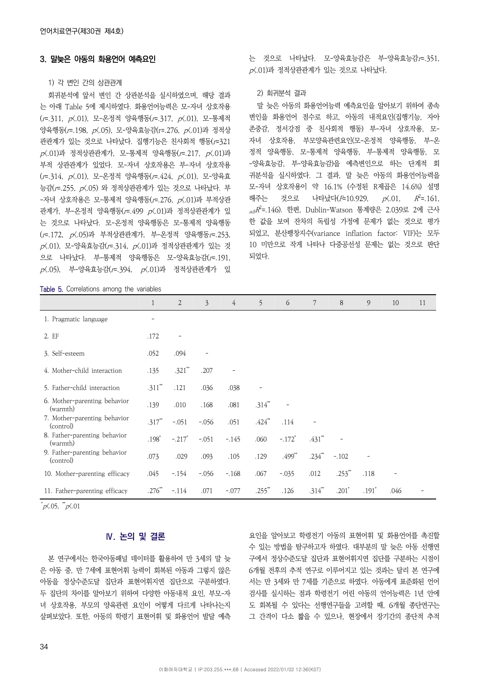# 3. 말늦은 아동의 화용언어 예측요인

# 1) 각 변인 간의 상관관계

회귀분석에 앞서 변인 간 상관분석을 실시하였으며, 해당 결과 는 아래 Table 5에 제시하였다. 화용언어능력은 모-자녀 상호작용 (r=.311, p<.01), 모-온정적 양육행동(r=.317, p<.01), 모-통제적 양육행동(r=.198, p<.05), 모-양육효능감(r=.276, p<.01)과 정적상 관관계가 있는 것으로 나타났다. 집행기능은 친사회적 행동(r=321  $p(0.01)$ 과 정적상관관계가, 모-통제적 양육행동( $r = 0.217$ ,  $p(0.01)$ 과 부적 상관관계가 있었다. 모-자녀 상호작용은 부-자녀 상호작용 (r=.314, p<.01), 모-온정적 양육행동(r=.424, p<.01), 모-양육효 능감(r=.255, p<.05) 와 정적상관관계가 있는 것으로 나타났다. 부  $-$ 자녀 상호작용은 모-통제적 양육행동( $r = 0.276$ ,  $p \le 0.01$ )과 부적상관 관계가, 부-온정적 양육행동( $r = .499$   $p(.01)$ 과 정적상관관계가 있 는 것으로 나타났다. 모-온정적 양육행동은 모-통제적 양육행동 (r=.172, p<.05)과 부적상관관계가, 부-온정적 양육행동r=.253,  $p(0.01)$ , 모-양육효능감 $(r=0.314, p(0.01)$ 과 정적상관관계가 있는 것 으로 나타났다. 부-통제적 양육행동은 모-양육효능감(r=.191,  $p(0.05)$ , 부-양육효능감 $(r=0.394, p(0.01)$ 과 정적상관관계가 있

Table 5. Correlations among the variables

는 것으로 나타났다. 모-양육효능감은 부-양육효능감r=.351, p<.01)과 정적상관관계가 있는 것으로 나타났다.

#### 2) 회귀분석 결과

말 늦은 아동의 화용언어능력 예측요인을 알아보기 위하여 종속 변인을 화용언어 점수로 하고, 아동의 내적요인(집행기능, 자아 존중감, 정서강점 중 친사회적 행동) 부-자녀 상호작용, 모-자녀 상호작용, 부모양육관련요인(모-온정적 양육행동, 부-온 정적 양육행동, 모-통제적 양육행동, 부-통제적 양육행동, 모 -양육효능감, 부-양육효능감)을 예측변인으로 하는 단계적 회 귀분석을 실시하였다. 그 결과, 말 늦은 아동의 화용언어능력을 모-자녀 상호작용이 약 16.1% (수정된 R제곱은 14.6%) 설명 해주는 것으로 나타났다 $(F=10.929, p\angle 01, R^2=0.161,$  $_{adj}R^2$ =.146). 한편, Dublin-Watson 통계량은 2.039로 2에 근사 한 값을 보여 잔차의 독립성 가정에 문제가 없는 것으로 평가 되었고, 분산팽창지수(variance inflation factor: VIF)는 모두 10 미만으로 작게 나타나 다중공선성 문제는 없는 것으로 판단 되었다.

|                                           | $\mathbf{1}$         | 2                    | $\overline{3}$ | $\overline{4}$ | 5           | 6                    | 7                 | 8                    | 9                        | 10   | 11 |
|-------------------------------------------|----------------------|----------------------|----------------|----------------|-------------|----------------------|-------------------|----------------------|--------------------------|------|----|
| 1. Pragmatic language                     | -                    |                      |                |                |             |                      |                   |                      |                          |      |    |
| 2. EF                                     | .172                 |                      |                |                |             |                      |                   |                      |                          |      |    |
| 3. Self-esteem                            | .052                 | .094                 |                |                |             |                      |                   |                      |                          |      |    |
| 4. Mother-child interaction               | .135                 | $.321$ **            | .207           |                |             |                      |                   |                      |                          |      |    |
| 5. Father-child interaction               | $.311$ <sup>**</sup> | .121                 | .036           | .038           |             |                      |                   |                      |                          |      |    |
| 6. Mother-parenting behavior<br>(warmth)  | .139                 | .010                 | .168           | .081           | $.314^{**}$ |                      |                   |                      |                          |      |    |
| 7. Mother-parenting behavior<br>(control) | $.317**$             | $-.051$              | $-.056$        | .051           | $.424$ **   | .114                 | $\qquad \qquad -$ |                      |                          |      |    |
| 8. Father-parenting behavior<br>(warmth)  | $.198*$              | $-.217$ <sup>*</sup> | $-.051$        | $-.145$        | .060        | $-.172$ <sup>*</sup> | $.431$ **         |                      |                          |      |    |
| 9. Father-parenting behavior<br>(control) | .073                 | .029                 | .093           | .105           | .129        | $.499^{**}$          | $.234^{**}$       | $-.102$              | $\overline{\phantom{a}}$ |      |    |
| 10. Mother-parenting efficacy             | .045                 | $-154$               | $-.056$        | $-168$         | .067        | $-.035$              | .012              | $.253$ <sup>**</sup> | .118                     |      |    |
| 11. Father-parenting efficacy             | .276                 | $-.114$              | .071           | $-.077$        | $.255^{**}$ | .126                 | $.314^{**}$       | $.201*$              | $.191$ <sup>*</sup>      | .046 |    |

 $p\zeta.05$ ,  $\sqrt[p]{a}$ .01

# **Ⅳ. 논의 및 결론**

본 연구에서는 한국아동패널 데이터를 활용하여 만 3세의 말 늦 은 아동 중, 만 7세에 표현어휘 능력이 회복된 아동과 그렇지 않은 아동을 정상수준도달 집단과 표현어휘지연 집단으로 구분하였다. 두 집단의 차이를 알아보기 위하여 다양한 아동내적 요인, 부모-자 녀 상호작용, 부모의 양육관련 요인이 어떻게 다르게 나타나는지 살펴보았다. 또한, 아동의 학령기 표현어휘 및 화용언어 발달 예측

요인을 알아보고 학령전기 아동의 표현어휘 및 화용언어를 촉진할 수 있는 방법을 탐구하고자 하였다. 대부분의 말 늦은 아동 선행연 구에서 정상수준도달 집단과 표현어휘지연 집단를 구분하는 시점이 6개월 전후의 추적 연구로 이루어지고 있는 것과는 달리 본 연구에 서는 만 3세와 만 7세를 기준으로 하였다. 아동에게 표준화된 언어 검사를 실시하는 점과 학령전기 어린 아동의 언어능력은 1년 안에 도 회복될 수 있다는 선행연구들을 고려할 때, 6개월 종단연구는 그 간격이 다소 짧을 수 있으나, 현장에서 장기간의 종단적 추적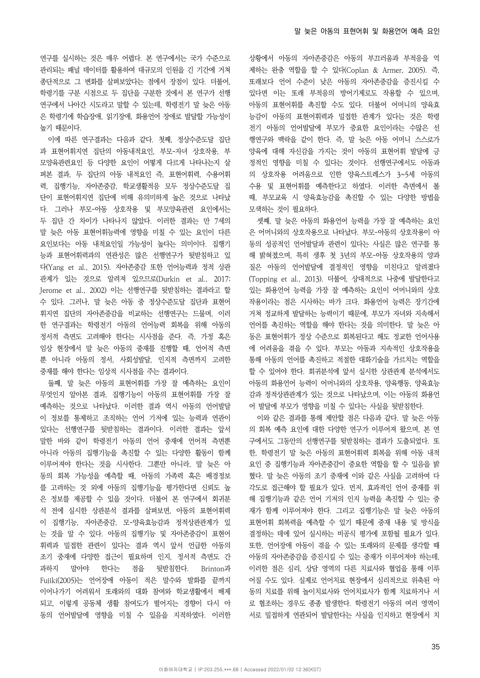연구를 실시하는 것은 매우 어렵다. 본 연구에서는 국가 수준으로 관리되는 패널 데이터를 활용하여 대규모의 인원을 긴 기간에 거쳐 종단적으로 그 변화를 살펴보았다는 점에서 장점이 있다. 더불어, 학령기를 구분 시점으로 두 집단을 구분한 것에서 본 연구가 선행 연구에서 나아간 시도라고 말할 수 있는데, 학령전기 말 늦은 아동 은 학령기에 학습장애, 읽기장애, 화용언어 장애로 발달할 가능성이 높기 때문이다.

이에 따른 연구결과는 다음과 같다. 첫째, 정상수준도달 집단 과 표현어휘지연 집단의 아동내적요인, 부모-자녀 상호작용, 부 모양육관련요인 등 다양한 요인이 어떻게 다르게 나타나는지 살 펴본 결과, 두 집단의 아동 내적요인 즉, 표현어휘력, 수용어휘 력, 집행기능, 자아존중감, 학교생활적응 모두 정상수준도달 집 단이 표현어휘지연 집단에 비해 유의미하게 높은 것으로 나타났 다. 그러나 부모-아동 상호작용 및 부모양육관련 요인에서는 두 집단 간 차이가 나타나지 않았다. 이러한 결과는 만 7세의 말 늦은 아동 표현어휘능력에 영향을 미칠 수 있는 요인이 다른 요인보다는 아동 내적요인일 가능성이 높다는 의미이다. 집행기 능과 표현어휘력과의 연관성은 많은 선행연구가 뒷받침하고 있 다(Yang et al., 2015). 자아존중감 또한 언어능력과 정적 상관 관계가 있는 것으로 알려져 있으므로(Durkin et al., 2017; Jerome et al., 2002) 이는 선행연구를 뒷받침하는 결과라고 할 수 있다. 그러나, 말 늦은 아동 중 정상수준도달 집단과 표현어 휘지연 집단의 자아존중감을 비교하는 선행연구는 드물며, 이러 한 연구결과는 학령전기 아동의 언어능력 회복을 위해 아동의 정서적 측면도 고려해야 한다는 시사점을 준다. 즉, 가정 혹은 임상 현장에서 말 늦은 아동의 중재를 진행할 때, 언어적 측면 뿐 아니라 아동의 정서, 사회성발달, 인지적 측면까지 고려한 중재를 해야 한다는 임상적 시사점을 주는 결과이다.

둘째, 말 늦은 아동의 표현어휘를 가장 잘 예측하는 요인이 무엇인지 알아본 결과, 집행기능이 아동의 표현어휘를 가장 잘 예측하는 것으로 나타났다. 이러한 결과 역시 아동의 언어발달 이 정보를 통제하고 조직하는 언어 기저에 있는 능력과 연관이 있다는 선행연구를 뒷받침하는 결과이다. 이러한 결과는 앞서 말한 바와 같이 학령전기 아동의 언어 중재에 언어적 측면뿐 아니라 아동의 집행기능을 촉진할 수 있는 다양한 활동이 함께 이루어져야 한다는 것을 시사한다. 그뿐만 아니라, 말 늦은 아 동의 회복 가능성을 예측할 때, 아동의 가족력 혹은 배경정보 를 고려하는 것 외에 아동의 집행기능을 평가한다면 신뢰도 높 은 정보를 제공할 수 있을 것이다. 더불어 본 연구에서 회귀분 석 전에 실시한 상관분석 결과를 살펴보면, 아동의 표현어휘력 이 집행기능, 자아존중감, 모-양육효능감과 정적상관관계가 있 는 것을 알 수 있다. 아동의 집행기능 및 자아존중감이 표현어 휘력과 밀접한 관련이 있다는 결과 역시 앞서 언급한 아동의 조기 중재에 다양한 접근이 필요하며 인지, 정서적 측면도 간 과하지 말아야 한다는 점을 뒷받침한다. Brinton과 Fujiki(2005)는 언어장애 아동이 적은 말수와 발화를 끝까지 이어나가기 어려워서 또래와의 대화 참여와 학교생활에서 배제 되고, 이렇게 공동체 생활 참여도가 떨어지는 경향이 다시 아 동의 언어발달에 영향을 미칠 수 있음을 지적하였다. 이러한 상황에서 아동의 자아존중감은 아동의 부끄러움과 부적응을 억 제하는 완충 역할을 할 수 있다(Coplan & Armer, 2005). 즉, 또래보다 언어 수준이 낮은 아동의 자아존중감을 증진시킬 수 있다면 이는 또래 부적응의 방어기제로도 작용할 수 있으며, 아동의 표현어휘를 촉진할 수도 있다. 더불어 어머니의 양육효 능감이 아동의 표현어휘력과 밀접한 관계가 있다는 것은 학령 전기 아동의 언어발달에 부모가 중요한 요인이라는 수많은 선 행연구와 맥락을 같이 한다. 즉, 말 늦은 아동 어머니 스스로가 양육에 대해 자신감을 가지는 것이 아동의 표현어휘 발달에 긍 정적인 영향을 미칠 수 있다는 것이다. 선행연구에서도 아동과 의 상호작용 어려움으로 인한 양육스트레스가 3~5세 아동의 수용 및 표현어휘를 예측한다고 하였다. 이러한 측면에서 볼 때, 부모교육 시 양육효능감을 촉진할 수 있는 다양한 방법을 모색하는 것이 필요하다.

셋째, 말 늦은 아동의 화용언어 능력을 가장 잘 예측하는 요인 은 어머니와의 상호작용으로 나타났다. 부모-아동의 상호작용이 아 동의 성공적인 언어발달과 관련이 있다는 사실은 많은 연구를 통 해 밝혀졌으며, 특히 생후 첫 3년의 부모-아동 상호작용의 양과 질은 아동의 언어발달에 결정적인 영향을 미친다고 알려졌다 (Topping et al., 2013). 더불어, 상대적으로 나중에 발달한다고 있는 화용언어 능력을 가장 잘 예측하는 요인이 어머니와의 상호 작용이라는 점은 시사하는 바가 크다. 화용언어 능력은 장기간에 거쳐 정교하게 발달하는 능력이기 때문에, 부모가 자녀와 지속해서 언어를 촉진하는 역할을 해야 한다는 것을 의미한다. 말 늦은 아 동은 표현어휘가 정상 수준으로 회복된다고 해도 정교한 언어사용 에 어려움을 겪을 수 있다. 부모는 아동과 지속적인 상호작용을 통해 아동의 언어를 촉진하고 적절한 대화기술을 가르치는 역할을 할 수 있어야 한다. 회귀분석에 앞서 실시한 상관관계 분석에서도 아동의 화용언어 능력이 어머니와의 상호작용, 양육행동, 양육효능 감과 정적상관관계가 있는 것으로 나타났으며, 이는 아동의 화용언 어 발달에 부모가 영향을 미칠 수 있다는 사실을 뒷받침한다.

이와 같은 결과를 통해 제안할 점은 다음과 같다. 말 늦은 아동 의 회복 예측 요인에 대한 다양한 연구가 이루어져 왔으며, 본 연 구에서도 그동안의 선행연구를 뒷받침하는 결과가 도출되었다. 또 한, 학령전기 말 늦은 아동의 표현어휘력 회복을 위해 아동 내적 요인 중 집행기능과 자아존중감이 중요한 역할을 할 수 있음을 밝 혔다. 말 늦은 아동의 조기 중재에 이와 같은 사실을 고려하여 다 각도로 접근해야 할 필요가 있다. 먼저, 효과적인 언어 중재를 위 해 집행기능과 같은 언어 기저의 인지 능력을 촉진할 수 있는 중 재가 함께 이루어져야 한다. 그리고 집행기능은 말 늦은 아동의 표현어휘 회복력을 예측할 수 있기 때문에 중재 내용 및 방식을 결정하는 데에 있어 실시하는 비공식 평가에 포함될 필요가 있다. 또한, 언어장애 아동이 겪을 수 있는 또래와의 문제를 생각할 때 아동의 자아존중감을 증진시킬 수 있는 중재가 이루어져야 하는데, 이러한 점은 심리, 상담 영역의 다른 치료사와 협업을 통해 이루 어질 수도 있다. 실제로 언어치료 현장에서 심리적으로 위축된 아 동의 치료를 위해 놀이치료사와 언어치료사가 함께 치료하거나 서 로 협조하는 경우도 종종 발생한다. 학령전기 아동의 여러 영역이 서로 밀접하게 연관되어 발달한다는 사실을 인지하고 현장에서 치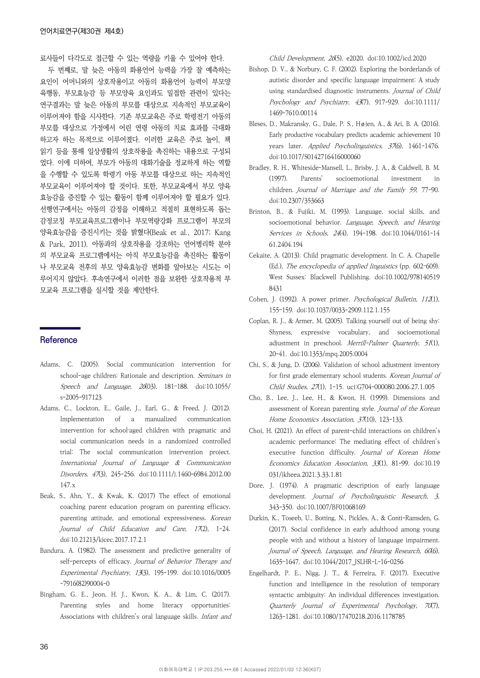료사들이 다각도로 접근할 수 있는 역량을 키울 수 있어야 한다.

두 번째로, 말 늦은 아동의 화용언어 능력을 가장 잘 예측하는 요인이 어머니와의 상호작용이고 아동의 화용언어 능력이 부모양 육행동, 부모효능감 등 부모양육 요인과도 밀접한 관련이 있다는 연구결과는 말 늦은 아동의 부모를 대상으로 지속적인 부모교육이 이루어져야 함을 시사한다. 기존 부모교육은 주로 학령전기 아동의 부모를 대상으로 가정에서 어린 연령 아동의 치료 효과를 극대화 하고자 하는 목적으로 이루어졌다. 이러한 교육은 주로 놀이, 책 읽기 등을 통해 일상생활의 상호작용을 촉진하는 내용으로 구성되 었다. 이에 더하여, 부모가 아동의 대화기술을 정교하게 하는 역할 을 수행할 수 있도록 학령기 아동 부모를 대상으로 하는 지속적인 부모교육이 이루어져야 할 것이다. 또한, 부모교육에서 부모 양육 효능감을 증진할 수 있는 활동이 함께 이루어져야 할 필요가 있다. 선행연구에서는 아동의 감정을 이해하고 적절히 표현하도록 돕는 감정코칭 부모교육프로그램이나 부모역량강화 프로그램이 부모의 양육효능감을 증진시키는 것을 밝혔다(Beak et al., 2017; Kang & Park, 2011). 아동과의 상호작용을 강조하는 언어병리학 분야 의 부모교육 프로그램에서는 아직 부모효능감을 촉진하는 활동이 나 부모교육 전후의 부모 양육효능감 변화를 알아보는 시도는 이 루어지지 않았다. 후속연구에서 이러한 점을 보완한 상호작용적 부 모교육 프로그램을 실시할 것을 제안한다.

# **Reference**

- Adams, C. (2005). Social communication intervention for school-age children: Rationale and description. Seminars in Speech and Language, 26(03), 181–188. doi:10.1055/ s-2005-917123
- Adams, C., Lockton, E., Gaile, J., Earl, G., & Freed, J. (2012). Implementation of a manualized communication intervention for school-aged children with pragmatic and social communication needs in a randomized controlled trial: The social communication intervention project. International Journal of Language & Communication Disorders, 47(3), 245-256. doi:10.1111/j.1460-6984.2012.00 147.x
- Beak, S., Ahn, Y., & Kwak, K. (2017) The effect of emotional coaching parent education program on parenting efficacy, parenting attitude, and emotional expressiveness. Korean Journal of Child Education and Care, 17(2), 1-24. doi:10.21213/kjcec.2017.17.2.1
- Bandura, A. (1982). The assessment and predictive generality of self-percepts of efficacy. Journal of Behavior Therapy and Experimental Psychiatry, 13(3), 195-199. doi:10.1016/0005 -7916(82)90004-0
- Bingham, G. E., Jeon, H. J., Kwon, K. A., & Lim, C. (2017). Parenting styles and home literacy opportunities: Associations with children's oral language skills. Infant and

Child Development, 26(5), e2020. doi:10.1002/icd.2020

- Bishop, D. V., & Norbury, C. F. (2002). Exploring the borderlands of autistic disorder and specific language impairment: A study using standardised diagnostic instruments. Journal of Child Psychology and Psychiatry, 43(7), 917-929. doi:10.1111/ 1469-7610.00114
- Bleses, D., Makransky, G., Dale, P. S., Højen, A., & Ari, B. A. (2016). Early productive vocabulary predicts academic achievement 10 years later. Applied Psycholinguistics, 37(6), 1461-1476. doi:10.1017/S0142716416000060
- Bradley, R. H., Whiteside-Mansell, L., Brisby, J. A., & Caldwell, B. M. (1997). Parents' socioemotional investment in children. Journal of Marriage and the Family 59, 77-90. doi:10.2307/353663
- Brinton, B., & Fujiki, M. (1993). Language, social skills, and socioemotional behavior. Language, Speech, and Hearing Services in Schools, 24(4), 194-198. doi:10.1044/0161-14 61.2404.194
- Cekaite, A. (2013). Child pragmatic development. In C. A. Chapelle (Ed.), The encyclopedia of applied linguistics (pp. 602–609). West Sussex: Blackwell Publishing. doi:10.1002/978140519 8431
- Cohen, J. (1992). A power primer. Psychological Bulletin, 112(1), 155–159. doi:10.1037/0033-2909.112.1.155
- Coplan, R. J., & Armer, M. (2005). Talking yourself out of being shy: Shyness, expressive vocabulary, and socioemotional adjustment in preschool. Merrill-Palmer Quarterly, 51(1), 20-41. doi:10.1353/mpq.2005.0004
- Chi, S., & Jung, D. (2006). Validation of school adjustment inventory for first grade elementary school students. Korean Journal of Child Studies, 27(1), 1-15. uci:G704-000080.2006.27.1.005
- Cho, B., Lee, J., Lee, H., & Kwon, H. (1999). Dimensions and assessment of Korean parenting style. Journal of the Korean Home Economics Association, 37(10), 123-133.
- Choi, H. (2021). An effect of parent-child interactions on children's academic performance: The mediating effect of children's executive function difficulty. Journal of Korean Home Economics Education Association, 33(1), 81-99. doi:10.19 031/jkheea.2021.3.33.1.81
- Dore, J. (1974). A pragmatic description of early language development. *Journal of Psycholinguistic Research*, 3, 343-350. doi:10.1007/BF01068169
- Durkin, K., Toseeb, U., Botting, N., Pickles, A., & Conti-Ramsden, G. (2017). Social confidence in early adulthood among young people with and without a history of language impairment. Journal of Speech, Language, and Hearing Research, 60(6), 1635–1647. doi:10.1044/2017\_JSLHR-L-16-0256
- Engelhardt, P. E., Nigg, J. T., & Ferreira, F. (2017). Executive function and intelligence in the resolution of temporary syntactic ambiguity: An individual differences investigation. Quarterly Journal of Experimental Psychology, 70(7), 1263-1281. doi:10.1080/17470218.2016.1178785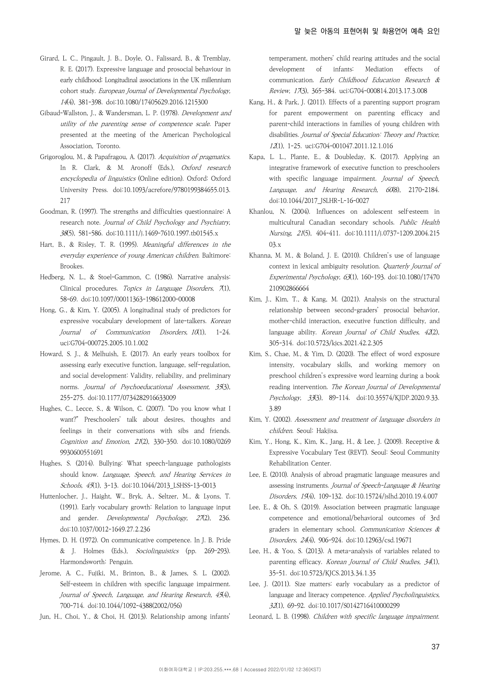- Girard, L. C., Pingault, J. B., Doyle, O., Falissard, B., & Tremblay, R. E. (2017). Expressive language and prosocial behaviour in early childhood: Longitudinal associations in the UK millennium cohort study. European Journal of Developmental Psychology, 14(4), 381-398. doi:10.1080/17405629.2016.1215300
- Gibaud-Wallston, J., & Wandersman, L. P. (1978). Development and utility of the parenting sense of competence scale. Paper presented at the meeting of the American Psychological Association, Toronto.
- Grigoroglou, M., & Papafragou, A. (2017). Acquisition of pragmatics. In R. Clark, & M. Aronoff (Eds.), Oxford research encyclopedia of linguistics (Online edition). Oxford: Oxford University Press. doi:10.1093/acrefore/9780199384655.013. 217
- Goodman, R. (1997). The strengths and difficulties questionnaire: A research note. Journal of Child Psychology and Psychiatry, 38(5), 581-586. doi:10.1111/j.1469-7610.1997.tb01545.x
- Hart, B., & Risley, T. R. (1995). Meaningful differences in the everyday experience of young American children. Baltimore: Brookes.
- Hedberg, N. L., & Stoel-Gammon, C. (1986). Narrative analysis: Clinical procedures. Topics in Language Disorders, 7(1), 58-69. doi:10.1097/00011363-198612000-00008
- Hong, G., & Kim, Y. (2005). A longitudinal study of predictors for expressive vocabulary development of late-talkers. Korean Journal of Communication Disorders, 10(1), 1-24. uci:G704-000725.2005.10.1.002
- Howard, S. J., & Melhuish, E. (2017). An early years toolbox for assessing early executive function, language, self-regulation, and social development: Validity, reliability, and preliminary norms. Journal of Psychoeducational Assessment, 35(3), 255-275. doi:10.1177/0734282916633009
- Hughes, C., Lecce, S., & Wilson, C. (2007). "Do you know what I want?" Preschoolers' talk about desires, thoughts and feelings in their conversations with sibs and friends. Cognition and Emotion, 21(2), 330-350. doi:10.1080/0269 9930600551691
- Hughes, S. (2014). Bullying: What speech-language pathologists should know. Language, Speech, and Hearing Services in Schools, 45(1), 3-13. doi:10.1044/2013\_LSHSS-13-0013
- Huttenlocher, J., Haight, W., Bryk, A., Seltzer, M., & Lyons, T. (1991). Early vocabulary growth: Relation to language input and gender. Developmental Psychology, 27(2), 236. doi:10.1037/0012-1649.27.2.236
- Hymes, D. H. (1972). On communicative competence. In J. B. Pride & J. Holmes (Eds.), Sociolinguistics (pp. 269–293). Harmondsworth: Penguin.
- Jerome, A. C., Fujiki, M., Brinton, B., & James, S. L. (2002). Self-esteem in children with specific language impairment. Journal of Speech, Language, and Hearing Research, 45(4), 700-714. doi:10.1044/1092-4388(2002/056)
- Jun, H., Choi, Y., & Choi, H. (2013). Relationship among infants'

temperament, mothers' child rearing attitudes and the social development of infants: Mediation effects of communication. Early Childhood Education Research & Review, 17(3), 365-384. uci:G704-000814.2013.17.3.008

- Kang, H., & Park, J. (2011). Effects of a parenting support program for parent empowerment on parenting efficacy and parent-child interactions in families of young children with disabilities. Journal of Special Education: Theory and Practice, 12(1), 1-25. uci:G704-001047.2011.12.1.016
- Kapa, L. L., Plante, E., & Doubleday, K. (2017). Applying an integrative framework of executive function to preschoolers with specific language impairment. Journal of Speech, Language, and Hearing Research, 60(8), 2170-2184. doi:10.1044/2017\_JSLHR-L-16-0027
- Khanlou, N. (2004). Influences on adolescent self-esteem in multicultural Canadian secondary schools. Public Health Nursing, 21(5), 404-411. doi:10.1111/j.0737-1209.2004.215 03.x
- Khanna, M. M., & Boland, J. E. (2010). Children's use of language context in lexical ambiguity resolution. Quarterly Journal of Experimental Psychology, 63(1), 160-193. doi:10.1080/17470 210902866664
- Kim, J., Kim, T., & Kang, M. (2021). Analysis on the structural relationship between second-graders' prosocial behavior, mother-child interaction, executive function difficulty, and language ability. Korean Journal of Child Studies,  $42(2)$ , 305-314. doi:10.5723/kjcs.2021.42.2.305
- Kim, S., Chae, M., & Yim, D. (2020). The effect of word exposure intensity, vocabulary skills, and working memory on preschool children's expressive word learning during a book reading intervention. The Korean Journal of Developmental Psychology, 33(3), 89-114. doi:10.35574/KJDP.2020.9.33. 3.89
- Kim, Y. (2002). Assessment and treatment of language disorders in children. Seoul: Hakjisa.
- Kim, Y., Hong, K., Kim, K., Jang, H., & Lee, J. (2009). Receptive & Expressive Vocabulary Test (REVT). Seoul: Seoul Community Rehabilitation Center.
- Lee, E. (2010). Analysis of abroad pragmatic language measures and assessing instruments. Journal of Speech-Language & Hearing Disorders, 19(4), 109-132. doi:10.15724/jslhd.2010.19.4.007
- Lee, E., & Oh, S. (2019). Association between pragmatic language competence and emotional/behavioral outcomes of 3rd graders in elementary school. Communication Sciences & Disorders, 24(4), 906-924. doi:10.12963/csd.19671
- Lee, H., & Yoo, S. (2013). A meta-analysis of variables related to parenting efficacy. Korean Journal of Child Studies, 34(1), 35-51. doi:10.5723/KJCS.2013.34.1.35
- Lee, J. (2011). Size matters: early vocabulary as a predictor of language and literacy competence. Applied Psycholinguistics, 32(1), 69-92. doi:10.1017/S0142716410000299
- Leonard, L. B. (1998). Children with specific language impairment.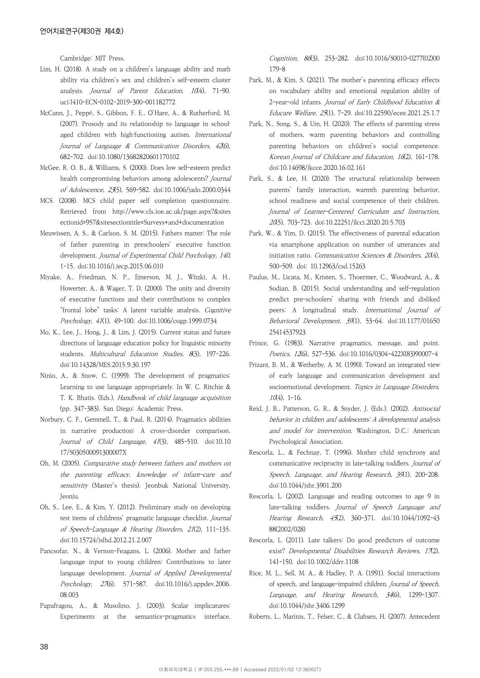Cambridge: MIT Press.

- Lim, H. (2018). A study on a children's language ability and math ability via children's sex and children's self-esteem cluster analysis. Journal of Parent Education, 10(4), 71-90. uci:I410-ECN-0102-2019-300-001182772
- McCann, J., Peppé, S., Gibbon, F. E., O'Hare, A., & Rutherford, M. (2007). Prosody and its relationship to language in schoolaged children with high-functioning autism. International Journal of Language & Communication Disorders, 42(6), 682-702. doi:10.1080/13682820601170102
- McGee, R. O. B., & Williams, S. (2000). Does low self-esteem predict health compromising behaviors among adolescents? Journal of Adolescence, 23(5), 569-582. doi:10.1006/jado.2000.0344
- MCS. (2008). MCS child paper self completion questionnaire. Retrieved from http://www.cls.ioe.ac.uk/page.aspx?&sites ectionid=957&sitesectiontitle=Surveys+and+documentation
- Meuwissen, A. S., & Carlson, S. M. (2015). Fathers matter: The role of father parenting in preschoolers' executive function development. Journal of Experimental Child Psychology, 140, 1-15. doi:10.1016/j.jecp.2015.06.010
- Miyake, A., Friedman, N. P., Emerson, M. J., Witzki, A. H., Howerter, A., & Wager, T. D. (2000). The unity and diversity of executive functions and their contributions to complex "frontal lobe" tasks: A latent variable analysis. Cognitive Psychology, 41(1), 49-100. doi:10.1006/cogp.1999.0734
- Mo, K., Lee, J., Hong, J., & Lim, J. (2015). Current status and future directions of language education policy for linguistic minority students. Multicultural Education Studies, 8(3), 197-226. doi:10.14328/MES.2015.9.30.197
- Ninio, A., & Snow, C. (1999). The development of pragmatics: Learning to use language appropriately. In W. C. Ritchie & T. K. Bhatis. (Eds.), Handbook of child language acquisition (pp. 347-383). San Diego: Academic Press.
- Norbury, C. F., Gemmell, T., & Paul, R. (2014). Pragmatics abilities in narrative production: A cross-disorder comparison. Journal of Child Language, 41(3), 485-510. doi:10.10 17/S030500091300007X
- Oh, M. (2005). Comparative study between fathers and mothers on the parenting efficacy, knowledge of infant-care and sensitivity (Master's thesis). Jeonbuk National University, Jeonju.
- Oh, S., Lee, E., & Kim, Y. (2012). Preliminary study on developing test items of childrens' pragmatic language checklist. Journal of Speech-Language & Hearing Disorders, 21(2), 111-135. doi:10.15724/jslhd.2012.21.2.007
- Pancsofar, N., & Vernon-Feagans, L. (2006). Mother and father language input to young children: Contributions to later language development. Journal of Applied Developmental Psychology, 27(6), 571-587. doi:10.1016/j.appdev.2006. 08.003
- Papafragou, A., & Musolino, J. (2003). Scalar implicatures: Experiments at the semantics–pragmatics interface.

Cognition, 86(3), 253-282. doi:10.1016/S0010-0277(02)00 179-8

- Park, M., & Kim, S. (2021). The mother's parenting efficacy effects on vocabulary ability and emotional regulation ability of 2-year-old infants. Journal of Early Childhood Education & Educare Welfare, 25(1), 7-29. doi:10.22590/ecee.2021.25.1.7
- Park, N., Song, S., & Um, H. (2020). The effects of parenting stress of mothers, warm parenting behaviors and controlling parenting behaviors on children's social competence. Korean Journal of Childcare and Education, 16(2), 161-178. doi:10.14698/jkcce.2020.16.02.161
- Park, S., & Lee, H. (2020). The structural relationship between parents' family interaction, warmth parenting behavior, school readiness and social competence of their children. Journal of Learner-Centered Curriculum and Instruction, 20(5), 703-723. doi:10.22251/jlcci.2020.20.5.703
- Park, W., & Yim, D. (2015). The effectiveness of parental education via smartphone application on number of utterances and initiation ratio. Communication Sciences & Disorders,  $20(4)$ , 500-509. doi: 10.12963/csd.15263
- Paulus, M., Licata, M., Kristen, S., Thoermer, C., Woodward, A., & Sodian, B. (2015). Social understanding and self-regulation predict pre-schoolers' sharing with friends and disliked peers: A longitudinal study. International Journal of Behavioral Development, 39(1), 53-64. doi:10.1177/01650 25414537923
- Prince, G. (1983). Narrative pragmatics, message, and point. Poetics, 12(6), 527-536. doi:10.1016/0304-422X(83)90007-4
- Prizant, B. M., & Wetherby, A. M. (1990). Toward an integrated view of early language and communication development and socioemotional development. Topics in Language Disorders,  $10(4)$ , 1-16.
- Reid, J. B., Patterson, G. R., & Snyder, J. (Eds.). (2002). Antisocial behavior in children and adolescents: A developmental analysis and model for intervention. Washington, D.C.: American Psychological Association.
- Rescorla, L., & Fechnay, T. (1996). Mother child synchrony and communicative reciprocity in late-talking toddlers. Journal of Speech, Language, and Hearing Research, 39(1), 200-208. doi:10.1044/jshr.3901.200
- Rescorla, L. (2002). Language and reading outcomes to age 9 in late-talking toddlers. Journal of Speech Language and Hearing Research, 45(2), 360-371. doi:10.1044/1092-43 88(2002/028)
- Rescorla, L. (2011). Late talkers: Do good predictors of outcome exist? Developmental Disabilities Research Reviews, 17(2), 141-150. doi:10.1002/ddrr.1108
- Rice, M. L., Sell, M. A., & Hadley, P. A. (1991). Social interactions of speech, and language-impaired children. Journal of Speech, Language, and Hearing Research, 34(6), 1299-1307. doi:10.1044/jshr.3406.1299
- Roberts, L., Marinis, T., Felser, C., & Clahsen, H. (2007). Antecedent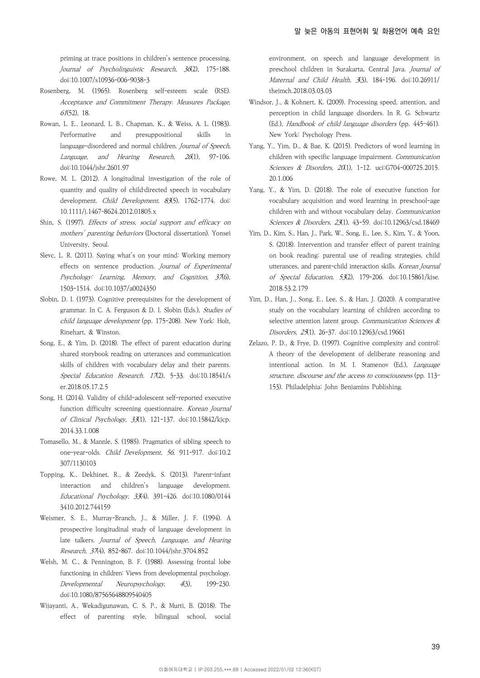priming at trace positions in children's sentence processing. Journal of Psycholinguistic Research, 36(2), 175-188. doi:10.1007/s10936-006-9038-3

- Rosenberg, M. (1965). Rosenberg self-esteem scale (RSE). Acceptance and Commitment Therapy. Measures Package, 61(52), 18.
- Rowan, L. E., Leonard, L. B., Chapman, K., & Weiss, A. L. (1983). Performative and presuppositional skills in language-disordered and normal children. Journal of Speech, Language, and Hearing Research, 26(1), 97-106. doi:10.1044/jshr.2601.97
- Rowe, M. L. (2012). A longitudinal investigation of the role of quantity and quality of child‐directed speech in vocabulary development. Child Development, 83(5), 1762-1774. doi: 10.1111/j.1467-8624.2012.01805.x
- Shin, S. (1997). Effects of stress, social support and efficacy on mothers' parenting behaviors (Doctoral dissertation). Yonsei University, Seoul.
- Slevc, L. R. (2011). Saying what's on your mind: Working memory effects on sentence production. Journal of Experimental Psychology: Learning, Memory, and Cognition, 37(6), 1503-1514. doi:10.1037/a0024350
- Slobin, D. I. (1973). Cognitive prerequisites for the development of grammar. In C. A. Ferguson & D. I. Slobin (Eds.), Studies of child language development (pp. 175-208). New York: Holt, Rinehart, & Winston.
- Song, E., & Yim, D. (2018). The effect of parent education during shared storybook reading on utterances and communication skills of children with vocabulary delay and their parents. Special Education Research. 17(2), 5-33. doi:10.18541/s er.2018.05.17.2.5
- Song, H. (2014). Validity of child-adolescent self-reported executive function difficulty screening questionnaire. Korean Journal of Clinical Psychology, 33(1), 121-137. doi:10.15842/kjcp. 2014.33.1.008
- Tomasello, M., & Mannle, S. (1985). Pragmatics of sibling speech to one-year-olds. Child Development, 56, 911-917. doi:10.2 307/1130103
- Topping, K., Dekhinet, R., & Zeedyk, S. (2013). Parent–infant interaction and children's language development. Educational Psychology, 33(4), 391-426. doi:10.1080/0144 3410.2012.744159
- Weismer, S. E., Murray-Branch, J., & Miller, J. F. (1994). A prospective longitudinal study of language development in late talkers. Journal of Speech, Language, and Hearing Research, 37(4), 852-867. doi:10.1044/jshr.3704.852
- Welsh, M. C., & Pennington, B. F. (1988). Assessing frontal lobe functioning in children: Views from developmental psychology. Developmental Neuropsychology, 4(3), 199–230. doi:10.1080/87565648809540405
- Wijayanti, A., Wekadigunawan, C. S. P., & Murti, B. (2018). The effect of parenting style, bilingual school, social

environment, on speech and language development in preschool children in Surakarta, Central Java. Journal of Maternal and Child Health, 3(3), 184-196. doi:10.26911/ thejmch.2018.03.03.03

- Windsor, J., & Kohnert, K. (2009). Processing speed, attention, and perception in child language disorders. In R. G. Schwartz (Ed.), Handbook of child language disorders (pp. 445–461). New York: Psychology Press.
- Yang, Y., Yim, D., & Bae, K. (2015). Predictors of word learning in children with specific language impairment. Communication Sciences & Disorders, 20(1), 1-12. uci:G704-000725.2015. 20.1.006
- Yang, Y., & Yim, D. (2018). The role of executive function for vocabulary acquisition and word learning in preschool-age children with and without vocabulary delay. Communication Sciences & Disorders, 23(1), 43-59. doi:10.12963/csd.18469
- Yim, D., Kim, S., Han, J., Park, W., Song, E., Lee, S., Kim, Y., & Yoon, S. (2018). Intervention and transfer effect of parent training on book reading: parental use of reading strategies, child utterances, and parent-child interaction skills. Korean Journal of Special Education, 53(2), 179-206. doi:10.15861/kjse. 2018.53.2.179
- Yim, D., Han, J., Song, E., Lee, S., & Han, J. (2020). A comparative study on the vocabulary learning of children according to selective attention latent group. Communication Sciences & Disorders, 25(1), 26-37. doi:10.12963/csd.19661
- Zelazo, P. D., & Frye, D. (1997). Cognitive complexity and control: A theory of the development of deliberate reasoning and intentional action. In M. I. Stamenov (Ed.), Language structure, discourse and the access to consciousness (pp. 113– 153). Philadelphia: John Benjamins Publishing.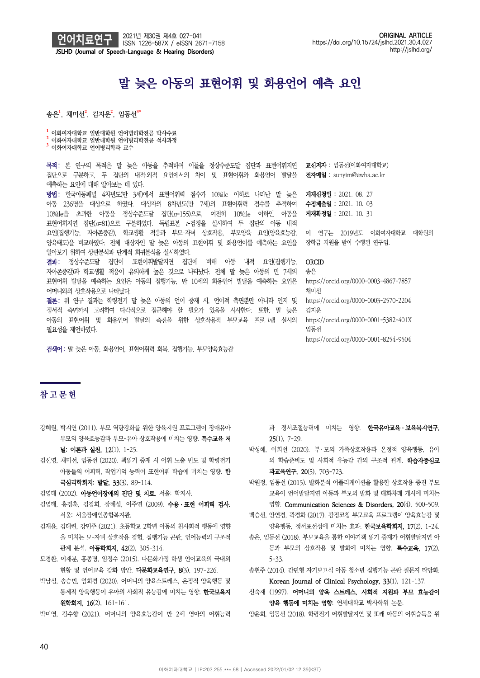

# 말 늦은 아동의 표현어휘 및 화용언어 예측 요인

송은**<sup>1</sup>** , 채미선**<sup>2</sup>** , 김지운**<sup>2</sup>** , 임동선**3\***

<mark>1</mark> 이화여자대학교 일반대학원 언어병리학전공 박사수료<br><sup>2</sup> 이화여자대학교 일반대학원 언어병리학전공 석사과정<br><sup>3</sup> 이화여자대학교 언어병리학과 교수

목적: 본 연구의 목적은 말 늦은 아동을 추적하여 이들을 정상수준도달 집단과 표현어휘지연 집단으로 구분하고, 두 집단의 내적·외적 요인에서의 차이 및 표현어휘와 화용언어 발달을 예측하는 요인에 대해 알아보는 데 있다.

방법: 한국아동패널 4차년도(만 3세)에서 표현어휘력 점수가 10%ile 이하로 나타난 말 늦은 아동 236명을 대상으로 하였다. 대상자의 8차년도(만 7세)의 표현어휘력 점수를 추적하여 10%ile을 초과한 아동을 정상수준도달 집단(n=155)으로, 여전히 10%ile 이하인 아동을 표현어휘지연 집단( $I$ =81)으로 구분하였다. 독립표본  $t$ -검정을 실시하여 두 집단의 아동 내적 요인(집행기능, 자아존중감), 학교생활 적응과 부모-자녀 상호작용, 부모양육 요인(양육효능감, 양육태도)을 비교하였다. 전체 대상자인 말 늦은 아동의 표현어휘 및 화용언어를 예측하는 요인을 알아보기 위하여 상관분석과 단계적 회귀분석을 실시하였다.

결과: 정상수준도달 집단이 표현어휘발달지연 집단에 비해 아동 내적 요인(집행기능, 자아존중감)과 학교생활 적응이 유의하게 높은 것으로 나타났다. 전체 말 늦은 아동의 만 7세의 표현어휘 발달을 예측하는 요인은 아동의 집행기능, 만 10세의 화용언어 발달을 예측하는 요인은 어머니와의 상호작용으로 나타났다.

결론: 위 연구 결과는 학령전기 말 늦은 아동의 언어 중재 시, 언어적 측면뿐만 아니라 인지 및 정서적 측면까지 고려하여 다각적으로 접근해야 할 필요가 있음을 시사한다. 또한, 말 늦은 아동의 표현어휘 및 화용언어 발달의 촉진을 위한 상호작용적 부모교육 프로그램 실시의 필요성을 제언하였다.

검색어: 말 늦은 아동, 화용언어, 표현어휘력 회복, 집행기능, 부모양육효능감

교신저자 : 임동선(이화여자대학교) 전자메일 : sunyim@ewha.ac.kr

게재신청일 : 2021. 08. 27 수정제출일 : 2021. 10. 03 게재확정일 : 2021. 10. 31

이 연구는 2019년도 이화여자대학교 대학원의 장학금 지원을 받아 수행된 연구임.

## **ORCID**

송은 https://orcid.org/0000-0003-4867-7857 채미선 https://orcid.org/0000-0003-2570-2204 김지운 https://orcid.org/0000-0001-5382-401X 임동선 https://orcid.org/0000-0001-8254-9504

# **참고문헌**

강혜원, 박지연 (2011). 부모 역량강화를 위한 양육지원 프로그램이 장애유아 부모의 양육효능감과 부모-유아 상호작용에 미치는 영향. 특수교육 저

널: 이론과 실천, 12(1), 1-25.

- 김신영, 채미선, 임동선 (2020). 책읽기 중재 시 어휘 노출 빈도 및 학령전기 아동들의 어휘력, 작업기억 능력이 표현어휘 학습에 미치는 영향. 한 국심리학회지: 발달, 33(3), 89-114.
- 김영태 (2002). 아동언어장애의 진단 및 치료. 서울: 학지사.
- 김영태, 홍경훈, 김경희, 장혜성, 이주연 (2009). 수용ㆍ표현 어휘력 검사. 서울: 서울장애인종합복지관.
- 김재윤, 김태련, 강민주 (2021). 초등학교 2학년 아동의 친사회적 행동에 영향 을 미치는 모-자녀 상호작용 경험, 집행기능 곤란, 언어능력의 구조적 관계 분석. 아동학회지, 42(2), 305-314.
- 모경환, 이재분, 홍종명, 임정수 (2015). 다문화가정 학생 언어교육의 국내외 현황 및 언어교육 강화 방안. 다문화교육연구, 8(3), 197-226.
- 박남심, 송승민, 엄희경 (2020). 어머니의 양육스트레스, 온정적 양육행동 및 통제적 양육행동이 유아의 사회적 유능감에 미치는 영향. 한국보육지 원학회지, 16(2), 161-161.

박미영, 김수향 (2021). 어머니의 양육효능감이 만 2세 영아의 어휘능력

과 정서조절능력에 미치는 영향. 한국유아교육 · 보육복지연구, 25(1), 7-29.

- 박성혜, 이희선 (2020). 부 ․ 모의 가족상호작용과 온정적 양육행동, 유아 의 학습준비도 및 사회적 유능감 간의 구조적 관계. 학습자중심교 과교육연구, 20(5), 703-723.
- 박원정, 임동선 (2015). 발화분석 어플리케이션을 활용한 상호작용 증진 부모 교육이 언어발달지연 아동과 부모의 발화 및 대화차례 개시에 미치는 영향. Communication Sciences & Disorders, 20(4), 500-509.
- 백승선, 안연경, 곽경화 (2017). 감정코칭 부모교육 프로그램이 양육효능감 및 양육행동, 정서표선성에 미치는 효과. **한국보육학회지, 17**(2), 1-24.
- 송은, 임동선 (2018). 부모교육을 통한 이야기책 읽기 중재가 어휘발달지연 아 동과 부모의 상호작용 및 발화에 미치는 영향. 특수교육, 17(2), 5-33.
- 송현주 (2014). 간편형 자기보고식 아동 청소년 집행기능 곤란 질문지 타당화. Korean Journal of Clinical Psychology, 33(1), 121-137.
- 신숙재 (1997). 어머니의 양육 스트레스, 사회적 지원과 부모 효능감이 양육 행동에 미치는 영향. 연세대학교 박사학위 논문.
- 양윤희, 임동선 (2018). 학령전기 어휘발달지연 및 또래 아동의 어휘습득을 위